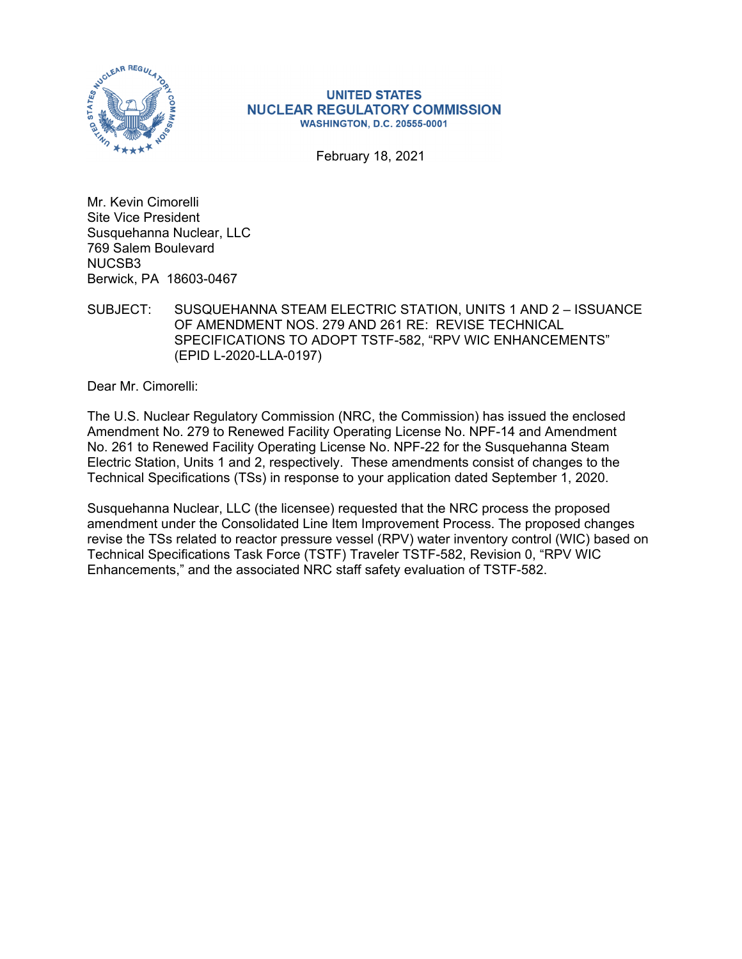

#### **UNITED STATES NUCLEAR REGULATORY COMMISSION WASHINGTON, D.C. 20555-0001**

February 18, 2021

Mr. Kevin Cimorelli Site Vice President Susquehanna Nuclear, LLC 769 Salem Boulevard NUCSB3 Berwick, PA 18603-0467

SUBJECT: SUSQUEHANNA STEAM ELECTRIC STATION, UNITS 1 AND 2 – ISSUANCE OF AMENDMENT NOS. 279 AND 261 RE: REVISE TECHNICAL SPECIFICATIONS TO ADOPT TSTF-582, "RPV WIC ENHANCEMENTS" (EPID L-2020-LLA-0197)

Dear Mr. Cimorelli:

The U.S. Nuclear Regulatory Commission (NRC, the Commission) has issued the enclosed Amendment No. 279 to Renewed Facility Operating License No. NPF-14 and Amendment No. 261 to Renewed Facility Operating License No. NPF-22 for the Susquehanna Steam Electric Station, Units 1 and 2, respectively. These amendments consist of changes to the Technical Specifications (TSs) in response to your application dated September 1, 2020.

Susquehanna Nuclear, LLC (the licensee) requested that the NRC process the proposed amendment under the Consolidated Line Item Improvement Process. The proposed changes revise the TSs related to reactor pressure vessel (RPV) water inventory control (WIC) based on Technical Specifications Task Force (TSTF) Traveler TSTF-582, Revision 0, "RPV WIC Enhancements," and the associated NRC staff safety evaluation of TSTF-582.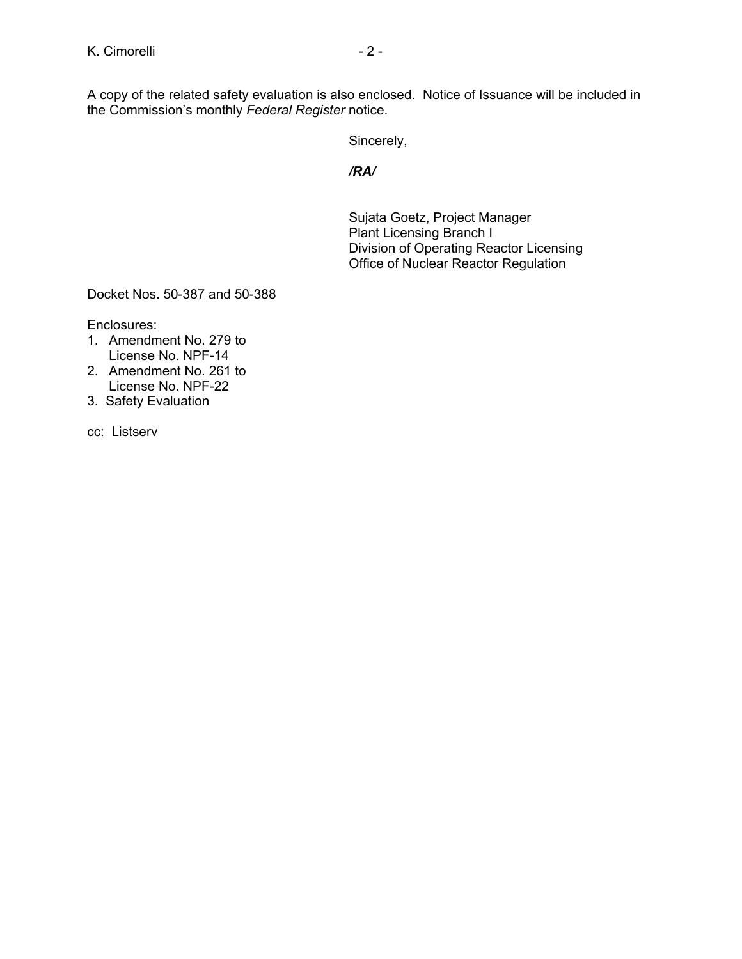A copy of the related safety evaluation is also enclosed. Notice of Issuance will be included in the Commission's monthly *Federal Register* notice.

Sincerely,

*/RA/* 

Sujata Goetz, Project Manager Plant Licensing Branch I Division of Operating Reactor Licensing Office of Nuclear Reactor Regulation

Docket Nos. 50-387 and 50-388

Enclosures:

- 1. Amendment No. 279 to License No. NPF-14
- 2. Amendment No. 261 to License No. NPF-22
- 3. Safety Evaluation

cc: Listserv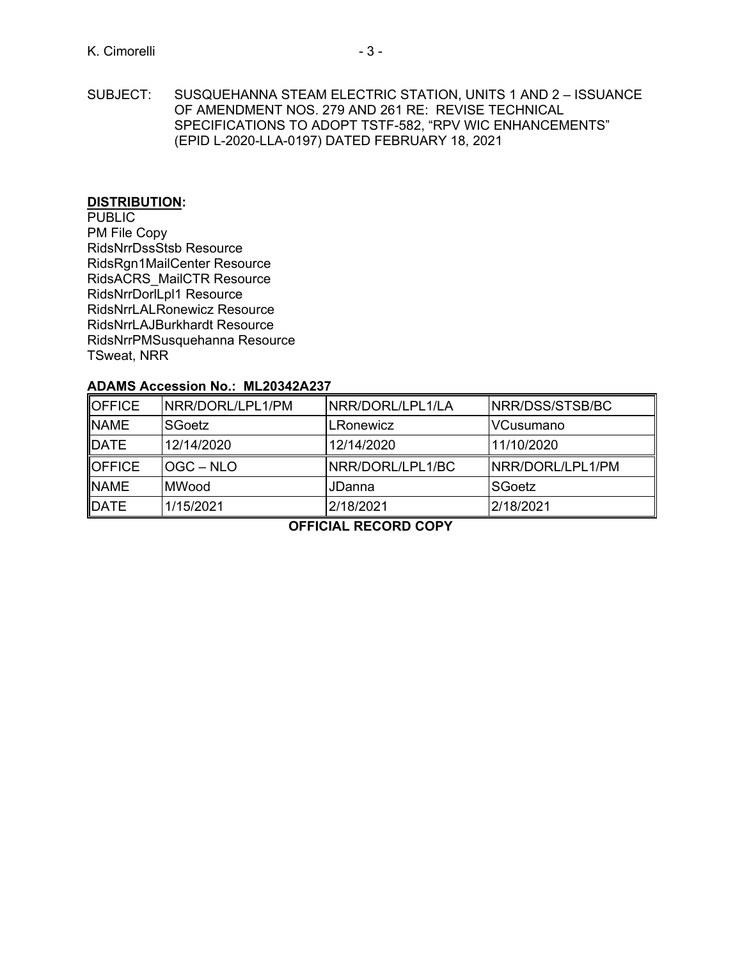SUBJECT: SUSQUEHANNA STEAM ELECTRIC STATION, UNITS 1 AND 2 – ISSUANCE OF AMENDMENT NOS. 279 AND 261 RE: REVISE TECHNICAL SPECIFICATIONS TO ADOPT TSTF-582, "RPV WIC ENHANCEMENTS" (EPID L-2020-LLA-0197) DATED FEBRUARY 18, 2021

#### **DISTRIBUTION:**

PUBLIC PM File Copy RidsNrrDssStsb Resource RidsRgn1MailCenter Resource RidsACRS\_MailCTR Resource RidsNrrDorlLpl1 Resource RidsNrrLALRonewicz Resource RidsNrrLAJBurkhardt Resource RidsNrrPMSusquehanna Resource TSweat, NRR

# **ADAMS Accession No.: ML20342A237**

| <b>OFFICE</b> | NRR/DORL/LPL1/PM | NRR/DORL/LPL1/LA | NRR/DSS/STSB/BC  |
|---------------|------------------|------------------|------------------|
| <b>NAME</b>   | SGoetz           | LRonewicz        | VCusumano        |
| <b>IDATE</b>  | 12/14/2020       | 12/14/2020       | 11/10/2020       |
| <b>OFFICE</b> | OGC – NLO        | NRR/DORL/LPL1/BC | NRR/DORL/LPL1/PM |
| <b>NAME</b>   | MWood            | JDanna           | SGoetz           |
| DATE          | 1/15/2021        | 2/18/2021        | 2/18/2021        |

**OFFICIAL RECORD COPY**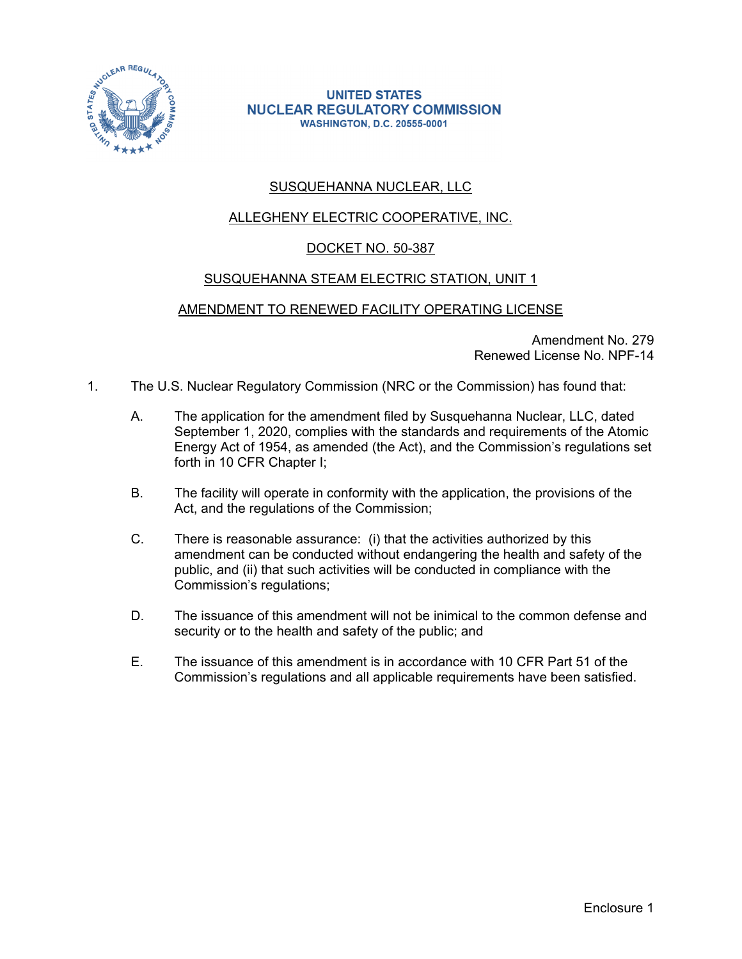

#### **UNITED STATES NUCLEAR REGULATORY COMMISSION WASHINGTON, D.C. 20555-0001**

# SUSQUEHANNA NUCLEAR, LLC

# ALLEGHENY ELECTRIC COOPERATIVE, INC.

# DOCKET NO. 50-387

# SUSQUEHANNA STEAM ELECTRIC STATION, UNIT 1

# AMENDMENT TO RENEWED FACILITY OPERATING LICENSE

Amendment No. 279 Renewed License No. NPF-14

- 1. The U.S. Nuclear Regulatory Commission (NRC or the Commission) has found that:
	- A. The application for the amendment filed by Susquehanna Nuclear, LLC, dated September 1, 2020, complies with the standards and requirements of the Atomic Energy Act of 1954, as amended (the Act), and the Commission's regulations set forth in 10 CFR Chapter I;
	- B. The facility will operate in conformity with the application, the provisions of the Act, and the regulations of the Commission;
	- C. There is reasonable assurance: (i) that the activities authorized by this amendment can be conducted without endangering the health and safety of the public, and (ii) that such activities will be conducted in compliance with the Commission's regulations;
	- D. The issuance of this amendment will not be inimical to the common defense and security or to the health and safety of the public; and
	- E. The issuance of this amendment is in accordance with 10 CFR Part 51 of the Commission's regulations and all applicable requirements have been satisfied.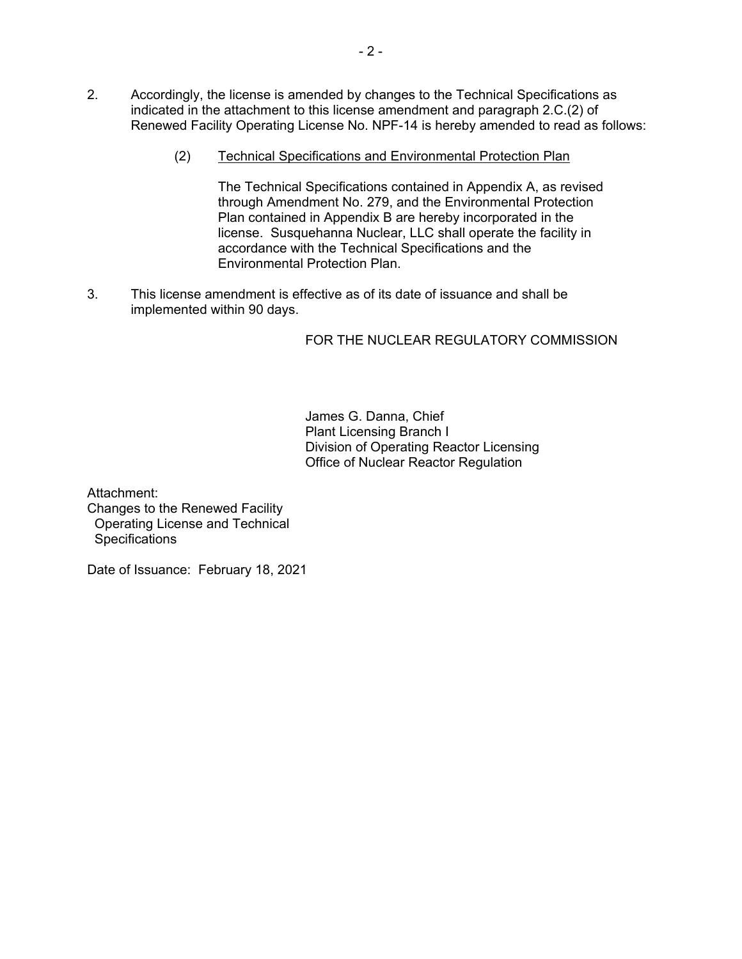- 2. Accordingly, the license is amended by changes to the Technical Specifications as indicated in the attachment to this license amendment and paragraph 2.C.(2) of Renewed Facility Operating License No. NPF-14 is hereby amended to read as follows:
	- (2) Technical Specifications and Environmental Protection Plan

The Technical Specifications contained in Appendix A, as revised through Amendment No. 279, and the Environmental Protection Plan contained in Appendix B are hereby incorporated in the license. Susquehanna Nuclear, LLC shall operate the facility in accordance with the Technical Specifications and the Environmental Protection Plan.

3. This license amendment is effective as of its date of issuance and shall be implemented within 90 days.

# FOR THE NUCLEAR REGULATORY COMMISSION

James G. Danna, Chief Plant Licensing Branch I Division of Operating Reactor Licensing Office of Nuclear Reactor Regulation

Attachment: Changes to the Renewed Facility Operating License and Technical **Specifications** 

Date of Issuance: February 18, 2021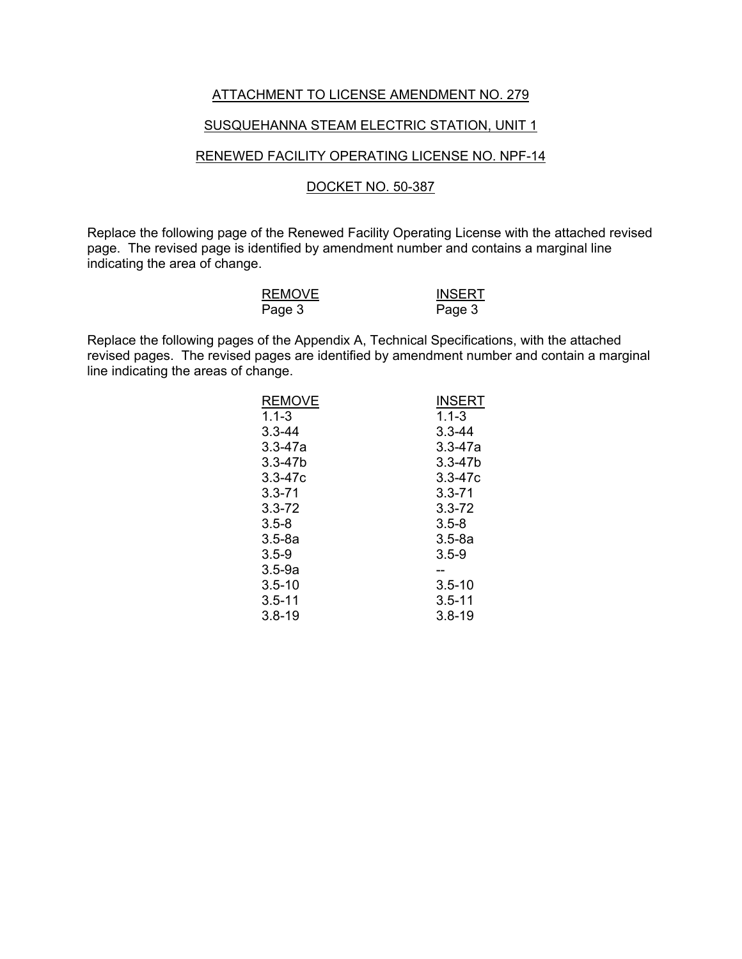#### ATTACHMENT TO LICENSE AMENDMENT NO. 279

#### SUSQUEHANNA STEAM ELECTRIC STATION, UNIT 1

# RENEWED FACILITY OPERATING LICENSE NO. NPF-14

#### DOCKET NO. 50-387

Replace the following page of the Renewed Facility Operating License with the attached revised page. The revised page is identified by amendment number and contains a marginal line indicating the area of change.

| <b>REMOVE</b> | <b>INSERT</b> |
|---------------|---------------|
| Page 3        | Page 3        |

Replace the following pages of the Appendix A, Technical Specifications, with the attached revised pages. The revised pages are identified by amendment number and contain a marginal line indicating the areas of change.

| <b>REMOVE</b> | <b>INSERT</b> |
|---------------|---------------|
| $1.1 - 3$     | $1.1 - 3$     |
| $3.3 - 44$    | $3.3 - 44$    |
| $3.3 - 47a$   | $3.3 - 47a$   |
| $3.3 - 47b$   | $3.3 - 47b$   |
| $3.3 - 47c$   | $3.3 - 47c$   |
| $3.3 - 71$    | $3.3 - 71$    |
| $3.3 - 72$    | $3.3 - 72$    |
| $3.5 - 8$     | $3.5 - 8$     |
| $3.5 - 8a$    | $3.5 - 8a$    |
| $3.5 - 9$     | $3.5 - 9$     |
| $3.5 - 9a$    | --            |
| $3.5 - 10$    | $3.5 - 10$    |
| $3.5 - 11$    | $3.5 - 11$    |
| $3.8 - 19$    | $3.8 - 19$    |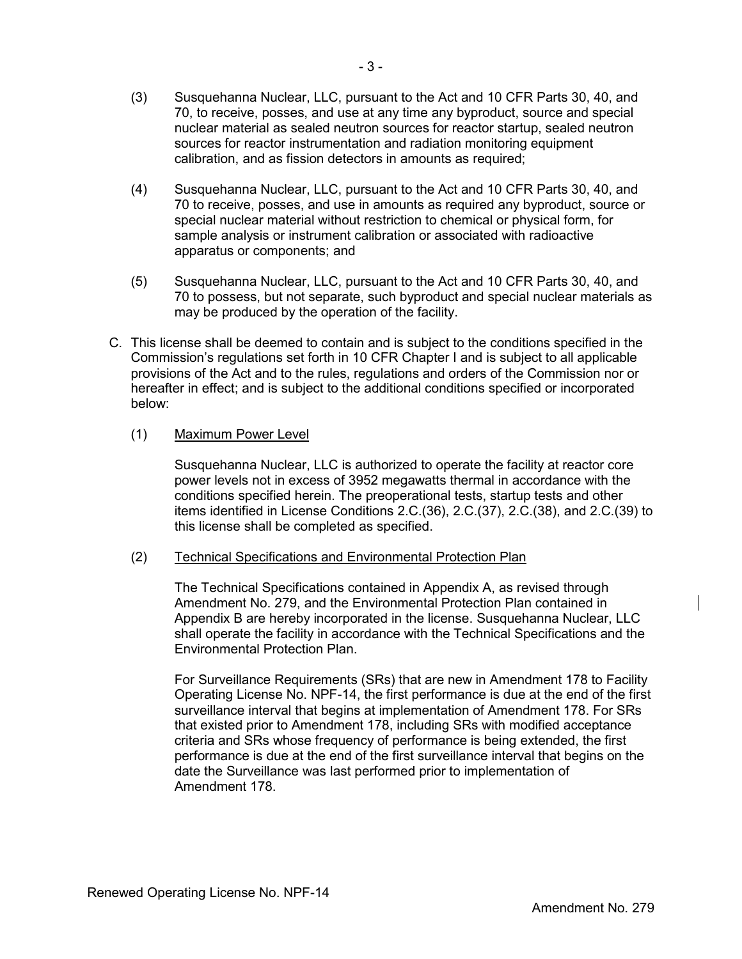- (3) Susquehanna Nuclear, LLC, pursuant to the Act and 10 CFR Parts 30, 40, and 70, to receive, posses, and use at any time any byproduct, source and special nuclear material as sealed neutron sources for reactor startup, sealed neutron sources for reactor instrumentation and radiation monitoring equipment calibration, and as fission detectors in amounts as required;
- (4) Susquehanna Nuclear, LLC, pursuant to the Act and 10 CFR Parts 30, 40, and 70 to receive, posses, and use in amounts as required any byproduct, source or special nuclear material without restriction to chemical or physical form, for sample analysis or instrument calibration or associated with radioactive apparatus or components; and
- (5) Susquehanna Nuclear, LLC, pursuant to the Act and 10 CFR Parts 30, 40, and 70 to possess, but not separate, such byproduct and special nuclear materials as may be produced by the operation of the facility.
- C. This license shall be deemed to contain and is subject to the conditions specified in the Commission's regulations set forth in 10 CFR Chapter I and is subject to all applicable provisions of the Act and to the rules, regulations and orders of the Commission nor or hereafter in effect; and is subject to the additional conditions specified or incorporated below:

# (1) Maximum Power Level

Susquehanna Nuclear, LLC is authorized to operate the facility at reactor core power levels not in excess of 3952 megawatts thermal in accordance with the conditions specified herein. The preoperational tests, startup tests and other items identified in License Conditions 2.C.(36), 2.C.(37), 2.C.(38), and 2.C.(39) to this license shall be completed as specified.

# (2) Technical Specifications and Environmental Protection Plan

The Technical Specifications contained in Appendix A, as revised through Amendment No. 279, and the Environmental Protection Plan contained in Appendix B are hereby incorporated in the license. Susquehanna Nuclear, LLC shall operate the facility in accordance with the Technical Specifications and the Environmental Protection Plan.

For Surveillance Requirements (SRs) that are new in Amendment 178 to Facility Operating License No. NPF-14, the first performance is due at the end of the first surveillance interval that begins at implementation of Amendment 178. For SRs that existed prior to Amendment 178, including SRs with modified acceptance criteria and SRs whose frequency of performance is being extended, the first performance is due at the end of the first surveillance interval that begins on the date the Surveillance was last performed prior to implementation of Amendment 178.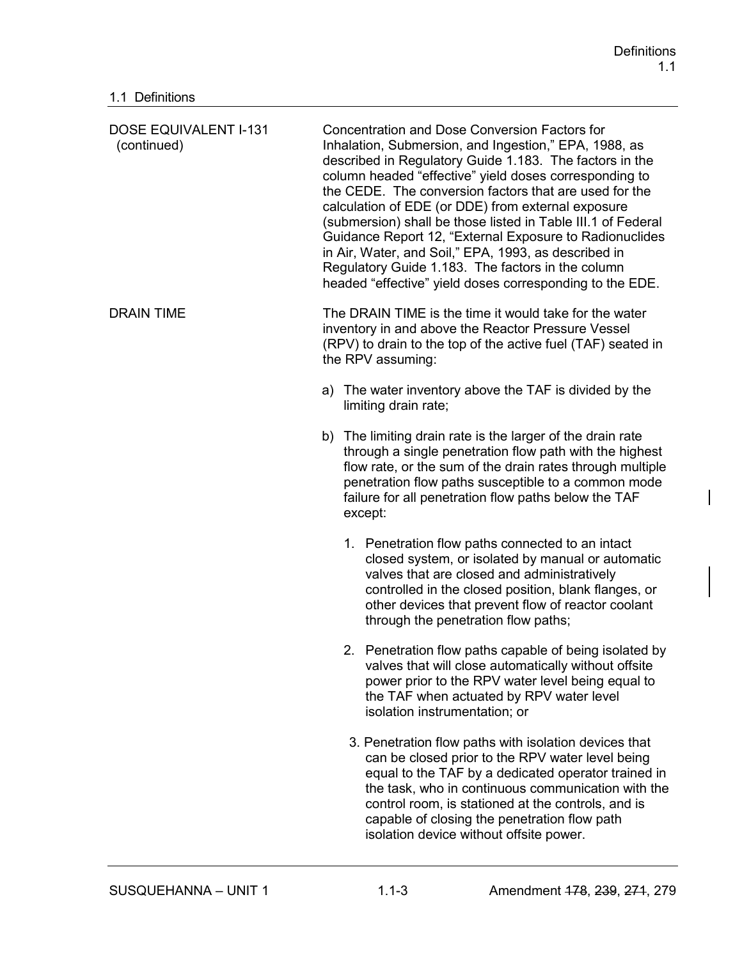| <b>DOSE EQUIVALENT I-131</b><br>(continued) | <b>Concentration and Dose Conversion Factors for</b><br>Inhalation, Submersion, and Ingestion," EPA, 1988, as<br>described in Regulatory Guide 1.183. The factors in the<br>column headed "effective" yield doses corresponding to<br>the CEDE. The conversion factors that are used for the<br>calculation of EDE (or DDE) from external exposure<br>(submersion) shall be those listed in Table III.1 of Federal<br>Guidance Report 12, "External Exposure to Radionuclides<br>in Air, Water, and Soil," EPA, 1993, as described in<br>Regulatory Guide 1.183. The factors in the column<br>headed "effective" yield doses corresponding to the EDE. |  |  |
|---------------------------------------------|--------------------------------------------------------------------------------------------------------------------------------------------------------------------------------------------------------------------------------------------------------------------------------------------------------------------------------------------------------------------------------------------------------------------------------------------------------------------------------------------------------------------------------------------------------------------------------------------------------------------------------------------------------|--|--|
| <b>DRAIN TIME</b>                           | The DRAIN TIME is the time it would take for the water<br>inventory in and above the Reactor Pressure Vessel<br>(RPV) to drain to the top of the active fuel (TAF) seated in<br>the RPV assuming:                                                                                                                                                                                                                                                                                                                                                                                                                                                      |  |  |
|                                             | a) The water inventory above the TAF is divided by the<br>limiting drain rate;                                                                                                                                                                                                                                                                                                                                                                                                                                                                                                                                                                         |  |  |
|                                             | b) The limiting drain rate is the larger of the drain rate<br>through a single penetration flow path with the highest<br>flow rate, or the sum of the drain rates through multiple<br>penetration flow paths susceptible to a common mode<br>failure for all penetration flow paths below the TAF<br>except:                                                                                                                                                                                                                                                                                                                                           |  |  |
|                                             | 1. Penetration flow paths connected to an intact<br>closed system, or isolated by manual or automatic<br>valves that are closed and administratively<br>controlled in the closed position, blank flanges, or<br>other devices that prevent flow of reactor coolant<br>through the penetration flow paths;                                                                                                                                                                                                                                                                                                                                              |  |  |
|                                             | 2. Penetration flow paths capable of being isolated by<br>valves that will close automatically without offsite<br>power prior to the RPV water level being equal to<br>the TAF when actuated by RPV water level<br>isolation instrumentation; or                                                                                                                                                                                                                                                                                                                                                                                                       |  |  |
|                                             | 3. Penetration flow paths with isolation devices that<br>can be closed prior to the RPV water level being<br>equal to the TAF by a dedicated operator trained in<br>the task, who in continuous communication with the<br>control room, is stationed at the controls, and is<br>capable of closing the penetration flow path<br>isolation device without offsite power.                                                                                                                                                                                                                                                                                |  |  |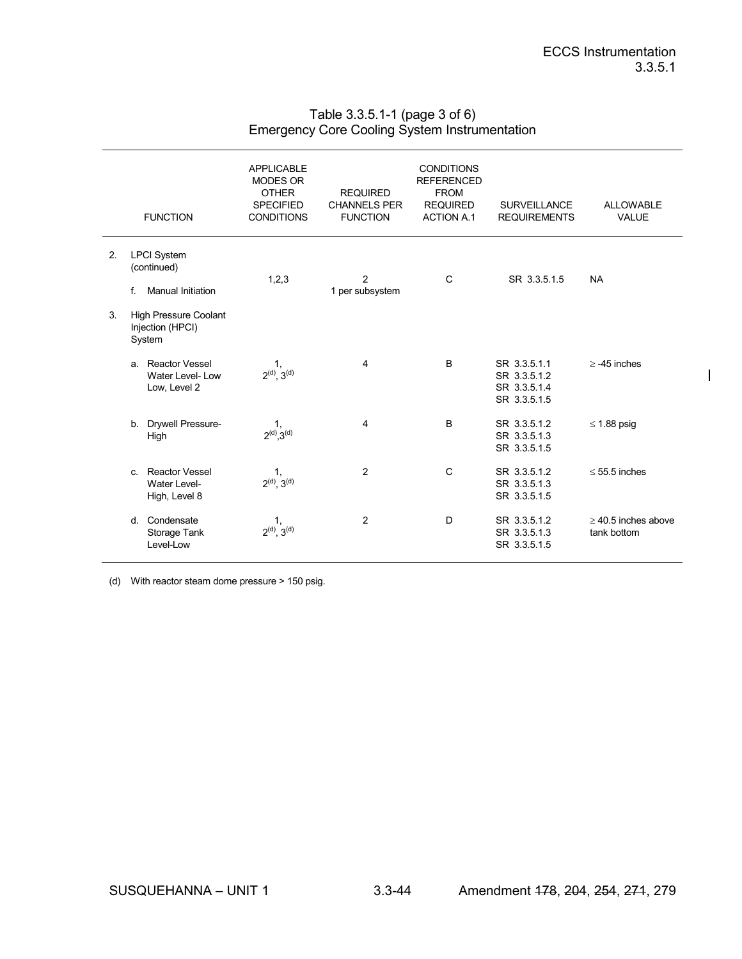$\overline{\phantom{a}}$ 

# Table 3.3.5.1-1 (page 3 of 6) Emergency Core Cooling System Instrumentation

|    | <b>FUNCTION</b>                                                     | <b>APPLICABLE</b><br><b>MODES OR</b><br><b>OTHER</b><br><b>SPECIFIED</b><br><b>CONDITIONS</b> | <b>REQUIRED</b><br><b>CHANNELS PER</b><br><b>FUNCTION</b> | <b>CONDITIONS</b><br><b>REFERENCED</b><br><b>FROM</b><br><b>REQUIRED</b><br><b>ACTION A.1</b> | <b>SURVEILLANCE</b><br><b>REQUIREMENTS</b>                   | <b>ALLOWABLE</b><br><b>VALUE</b>     |
|----|---------------------------------------------------------------------|-----------------------------------------------------------------------------------------------|-----------------------------------------------------------|-----------------------------------------------------------------------------------------------|--------------------------------------------------------------|--------------------------------------|
| 2. | <b>LPCI</b> System<br>(continued)<br>f.<br><b>Manual Initiation</b> | 1,2,3                                                                                         | 2<br>1 per subsystem                                      | C                                                                                             | SR 3.3.5.1.5                                                 | <b>NA</b>                            |
| 3. | <b>High Pressure Coolant</b><br>Injection (HPCI)<br>System          |                                                                                               |                                                           |                                                                                               |                                                              |                                      |
|    | Reactor Vessel<br>a.<br>Water Level-Low<br>Low, Level 2             | 1,<br>$2^{(d)}$ , $3^{(d)}$                                                                   | 4                                                         | <sub>B</sub>                                                                                  | SR 3.3.5.1.1<br>SR 3.3.5.1.2<br>SR 3.3.5.1.4<br>SR 3.3.5.1.5 | $> -45$ inches                       |
|    | Drywell Pressure-<br>b.<br>High                                     | 1,<br>$2^{(d)}$ , $3^{(d)}$                                                                   | 4                                                         | B                                                                                             | SR 3.3.5.1.2<br>SR 3.3.5.1.3<br>SR 3.3.5.1.5                 | $\leq$ 1.88 psig                     |
|    | Reactor Vessel<br>$\mathbf{c}$<br>Water Level-<br>High, Level 8     | 1,<br>$2^{(d)}$ , $3^{(d)}$                                                                   | 2                                                         | C                                                                                             | SR 3.3.5.1.2<br>SR 3.3.5.1.3<br>SR 3.3.5.1.5                 | $< 55.5$ inches                      |
|    | Condensate<br><sub>d</sub><br>Storage Tank<br>Level-Low             | 1,<br>$2^{(d)}$ , $3^{(d)}$                                                                   | $\overline{2}$                                            | D                                                                                             | SR 3.3.5.1.2<br>SR 3.3.5.1.3<br>SR 3.3.5.1.5                 | $>$ 40.5 inches above<br>tank bottom |

(d) With reactor steam dome pressure > 150 psig.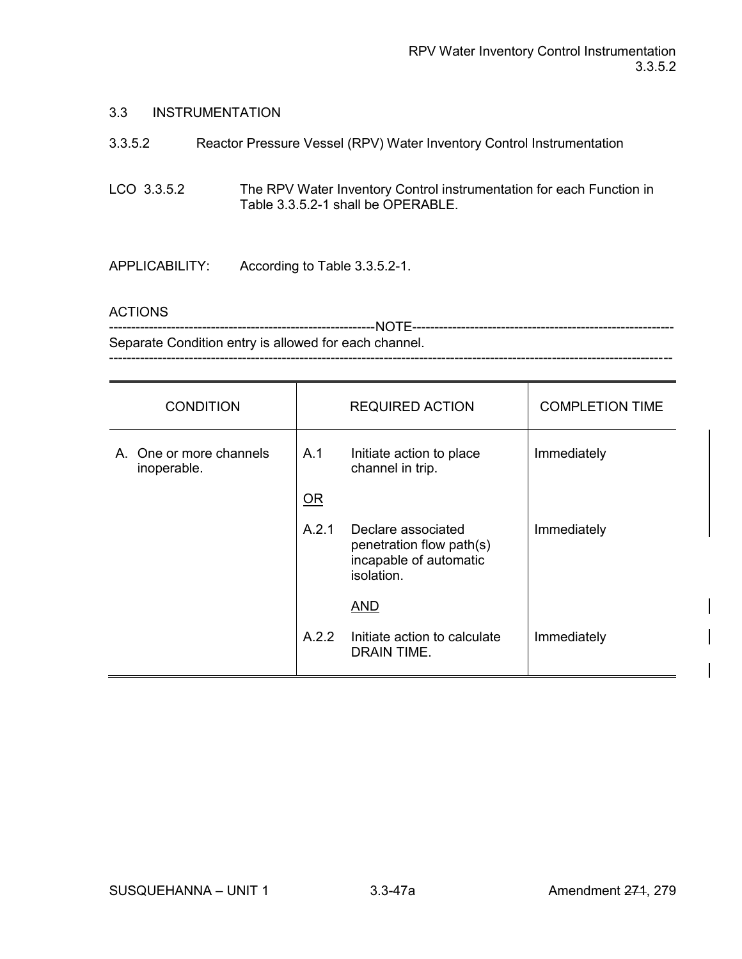#### 3.3 INSTRUMENTATION

| 3.3.5.2        | Reactor Pressure Vessel (RPV) Water Inventory Control Instrumentation                                      |
|----------------|------------------------------------------------------------------------------------------------------------|
| LCO 3.3.5.2    | The RPV Water Inventory Control instrumentation for each Function in<br>Table 3.3.5.2-1 shall be OPERABLE. |
| APPLICABILITY: | According to Table 3.3.5.2-1.                                                                              |

### ACTIONS

| Separate Condition entry is allowed for each channel. |
|-------------------------------------------------------|
|                                                       |

| <b>CONDITION</b>                       |       | <b>REQUIRED ACTION</b>                                                                 | <b>COMPLETION TIME</b> |
|----------------------------------------|-------|----------------------------------------------------------------------------------------|------------------------|
| A. One or more channels<br>inoperable. | A.1   | Initiate action to place<br>channel in trip.                                           | Immediately            |
|                                        | OR    |                                                                                        |                        |
|                                        | A.2.1 | Declare associated<br>penetration flow path(s)<br>incapable of automatic<br>isolation. | Immediately            |
|                                        |       | <b>AND</b>                                                                             |                        |
|                                        | A.2.2 | Initiate action to calculate<br>DRAIN TIME.                                            | Immediately            |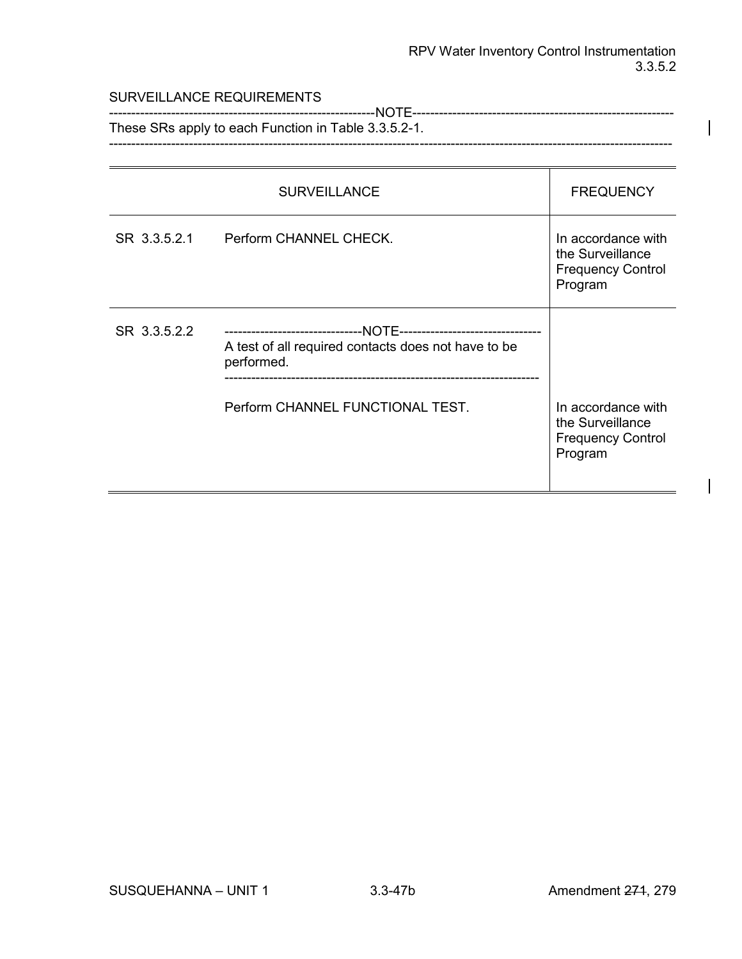#### SURVEILLANCE REQUIREMENTS

------------------------------------------------------------NOTE----------------------------------------------------------- These SRs apply to each Function in Table 3.3.5.2-1. -------------------------------------------------------------------------------------------------------------------------------

|              | <b>SURVEILLANCE</b>                                               | <b>FREQUENCY</b>                                                              |
|--------------|-------------------------------------------------------------------|-------------------------------------------------------------------------------|
| SR 3.3.5.2.1 | Perform CHANNEL CHECK.                                            | In accordance with<br>the Surveillance<br><b>Frequency Control</b><br>Program |
| SR 3.3.5.2.2 | A test of all required contacts does not have to be<br>performed. |                                                                               |
|              | Perform CHANNEL FUNCTIONAL TEST.                                  | In accordance with<br>the Surveillance<br><b>Frequency Control</b><br>Program |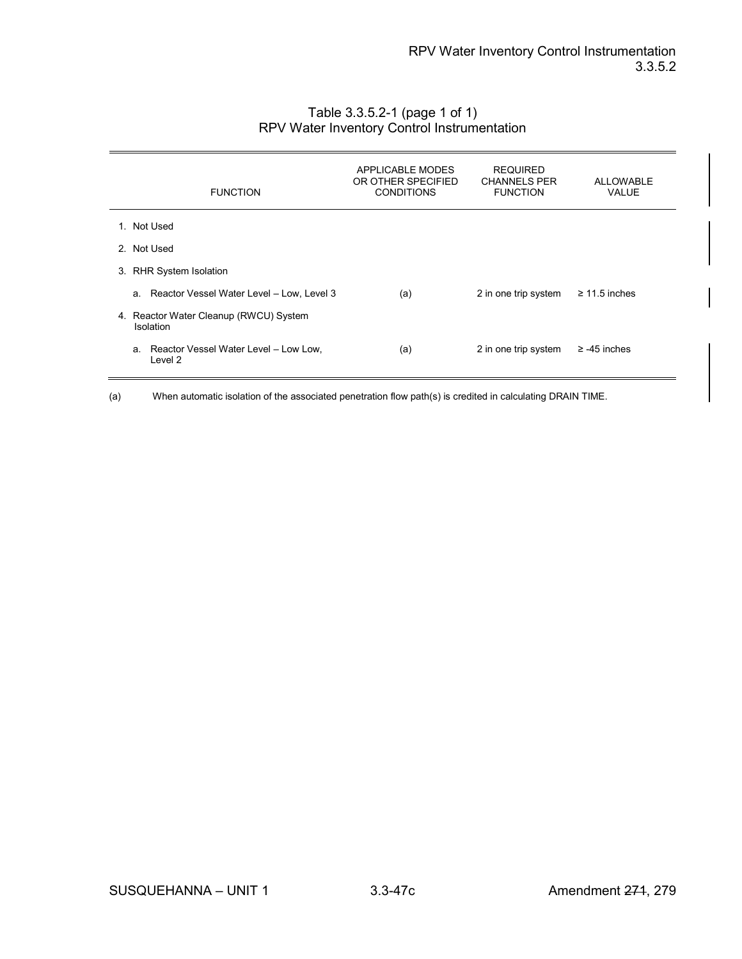| <b>FUNCTION</b>                                     | APPLICABLE MODES<br>OR OTHER SPECIFIED<br><b>CONDITIONS</b> | <b>REQUIRED</b><br><b>CHANNELS PER</b><br><b>FUNCTION</b> | <b>ALLOWABLE</b><br><b>VALUE</b> |
|-----------------------------------------------------|-------------------------------------------------------------|-----------------------------------------------------------|----------------------------------|
| 1. Not Used                                         |                                                             |                                                           |                                  |
| 2. Not Used                                         |                                                             |                                                           |                                  |
| 3. RHR System Isolation                             |                                                             |                                                           |                                  |
| a. Reactor Vessel Water Level - Low, Level 3        | (a)                                                         | 2 in one trip system                                      | $\geq$ 11.5 inches               |
| 4. Reactor Water Cleanup (RWCU) System<br>Isolation |                                                             |                                                           |                                  |
| a. Reactor Vessel Water Level - Low Low,<br>Level 2 | (a)                                                         | 2 in one trip system                                      | $\ge$ -45 inches                 |

# Table 3.3.5.2-1 (page 1 of 1) RPV Water Inventory Control Instrumentation

(a) When automatic isolation of the associated penetration flow path(s) is credited in calculating DRAIN TIME.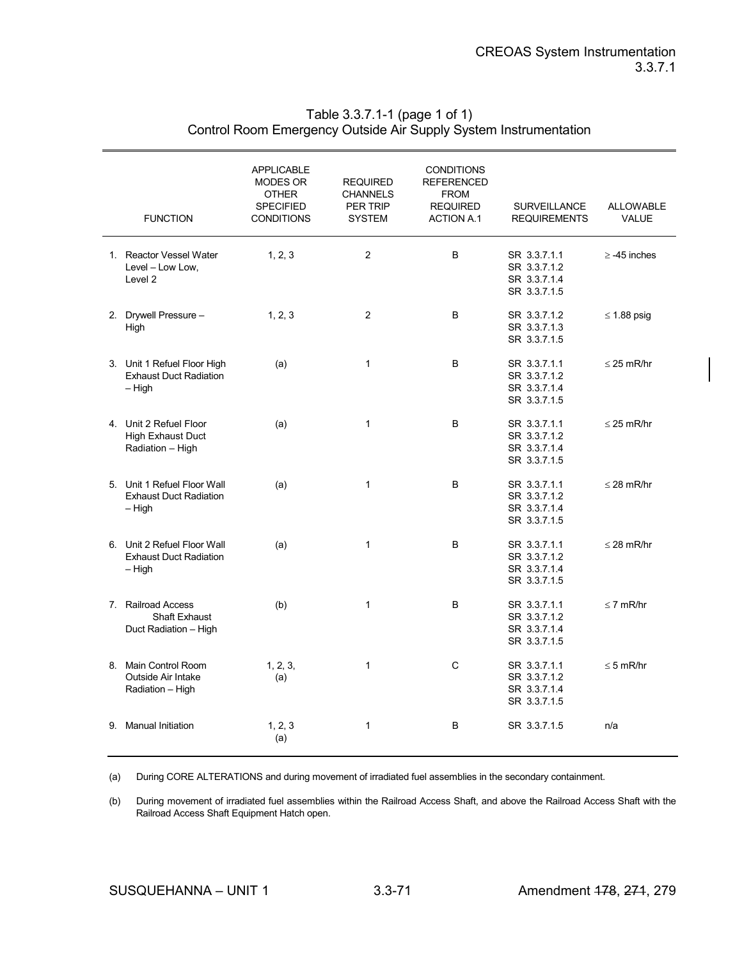|                | <b>FUNCTION</b>                                                          | <b>APPLICABLE</b><br>MODES OR<br><b>OTHER</b><br><b>SPECIFIED</b><br><b>CONDITIONS</b> | <b>REQUIRED</b><br><b>CHANNELS</b><br>PER TRIP<br><b>SYSTEM</b> | <b>CONDITIONS</b><br><b>REFERENCED</b><br><b>FROM</b><br><b>REQUIRED</b><br><b>ACTION A.1</b> | <b>SURVEILLANCE</b><br><b>REQUIREMENTS</b>                   | <b>ALLOWABLE</b><br><b>VALUE</b> |
|----------------|--------------------------------------------------------------------------|----------------------------------------------------------------------------------------|-----------------------------------------------------------------|-----------------------------------------------------------------------------------------------|--------------------------------------------------------------|----------------------------------|
|                | 1. Reactor Vessel Water<br>Level - Low Low,<br>Level <sub>2</sub>        | 1, 2, 3                                                                                | 2                                                               | B                                                                                             | SR 3.3.7.1.1<br>SR 3.3.7.1.2<br>SR 3.3.7.1.4<br>SR 3.3.7.1.5 | $\ge$ -45 inches                 |
|                | 2. Drywell Pressure -<br>High                                            | 1, 2, 3                                                                                | 2                                                               | B                                                                                             | SR 3.3.7.1.2<br>SR 3.3.7.1.3<br>SR 3.3.7.1.5                 | $\leq$ 1.88 psig                 |
|                | 3. Unit 1 Refuel Floor High<br><b>Exhaust Duct Radiation</b><br>– High   | (a)                                                                                    | $\mathbf{1}$                                                    | B                                                                                             | SR 3.3.7.1.1<br>SR 3.3.7.1.2<br>SR 3.3.7.1.4<br>SR 3.3.7.1.5 | $\leq$ 25 mR/hr                  |
|                | 4. Unit 2 Refuel Floor<br><b>High Exhaust Duct</b><br>Radiation - High   | (a)                                                                                    | $\mathbf{1}$                                                    | B                                                                                             | SR 3.3.7.1.1<br>SR 3.3.7.1.2<br>SR 3.3.7.1.4<br>SR 3.3.7.1.5 | $\leq$ 25 mR/hr                  |
|                | 5. Unit 1 Refuel Floor Wall<br><b>Exhaust Duct Radiation</b><br>– High   | (a)                                                                                    | $\mathbf{1}$                                                    | B                                                                                             | SR 3.3.7.1.1<br>SR 3.3.7.1.2<br>SR 3.3.7.1.4<br>SR 3.3.7.1.5 | $\leq$ 28 mR/hr                  |
|                | 6. Unit 2 Refuel Floor Wall<br><b>Exhaust Duct Radiation</b><br>$-$ High | (a)                                                                                    | $\mathbf{1}$                                                    | B                                                                                             | SR 3.3.7.1.1<br>SR 3.3.7.1.2<br>SR 3.3.7.1.4<br>SR 3.3.7.1.5 | $\leq$ 28 mR/hr                  |
| 7 <sup>1</sup> | <b>Railroad Access</b><br><b>Shaft Exhaust</b><br>Duct Radiation - High  | (b)                                                                                    | $\mathbf{1}$                                                    | B                                                                                             | SR 3.3.7.1.1<br>SR 3.3.7.1.2<br>SR 3.3.7.1.4<br>SR 3.3.7.1.5 | $\leq$ 7 mR/hr                   |
|                | 8. Main Control Room<br>Outside Air Intake<br>Radiation - High           | 1, 2, 3,<br>(a)                                                                        | $\mathbf{1}$                                                    | C                                                                                             | SR 3.3.7.1.1<br>SR 3.3.7.1.2<br>SR 3.3.7.1.4<br>SR 3.3.7.1.5 | $\leq$ 5 mR/hr                   |
|                | 9. Manual Initiation                                                     | 1, 2, 3<br>(a)                                                                         | 1                                                               | В                                                                                             | SR 3.3.7.1.5                                                 | n/a                              |

# Table 3.3.7.1-1 (page 1 of 1) Control Room Emergency Outside Air Supply System Instrumentation

(a) During CORE ALTERATIONS and during movement of irradiated fuel assemblies in the secondary containment.

(b) During movement of irradiated fuel assemblies within the Railroad Access Shaft, and above the Railroad Access Shaft with the Railroad Access Shaft Equipment Hatch open.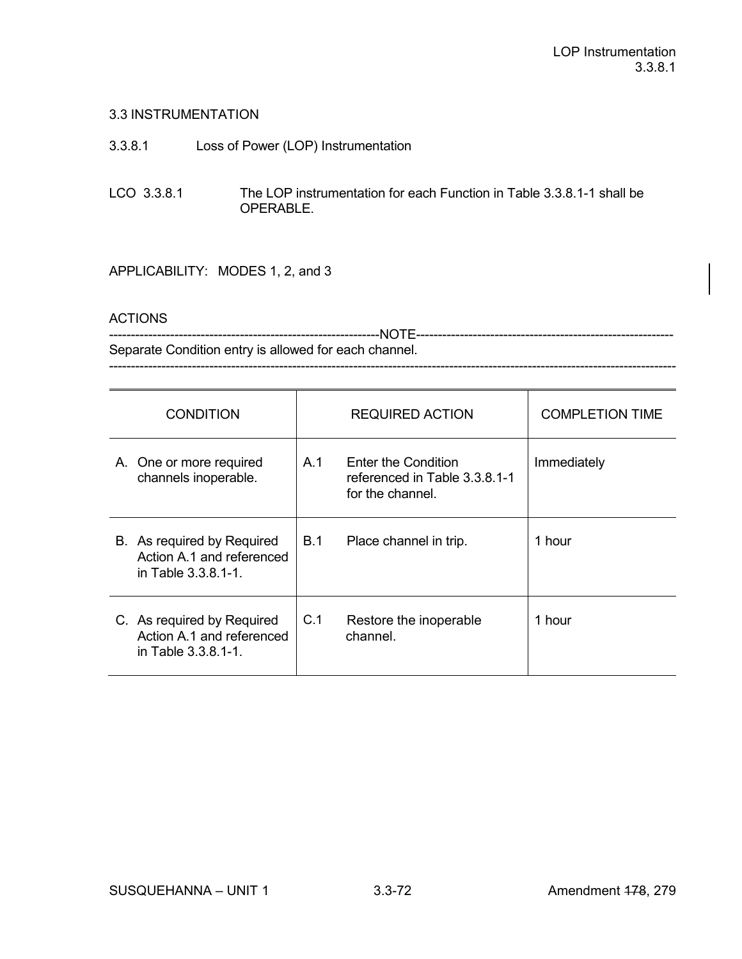# 3.3 INSTRUMENTATION

- 3.3.8.1 Loss of Power (LOP) Instrumentation
- LCO 3.3.8.1 The LOP instrumentation for each Function in Table 3.3.8.1-1 shall be OPERABLE.

# APPLICABILITY: MODES 1, 2, and 3

#### **ACTIONS**

--------------------------------------------------------------NOTE----------------------------------------------------------- Separate Condition entry is allowed for each channel.

----------------------------------------------------------------------------------------------------------------------------------

| <b>CONDITION</b>                                                               |            | <b>REQUIRED ACTION</b>                                                   | <b>COMPLETION TIME</b> |
|--------------------------------------------------------------------------------|------------|--------------------------------------------------------------------------|------------------------|
| A. One or more required<br>channels inoperable.                                | A.1        | Enter the Condition<br>referenced in Table 3.3.8.1-1<br>for the channel. | Immediately            |
| B. As required by Required<br>Action A.1 and referenced<br>in Table 3.3.8.1-1. | <b>B.1</b> | Place channel in trip.                                                   | 1 hour                 |
| C. As required by Required<br>Action A.1 and referenced<br>in Table 3.3.8.1-1. | C.1        | Restore the inoperable<br>channel.                                       | 1 hour                 |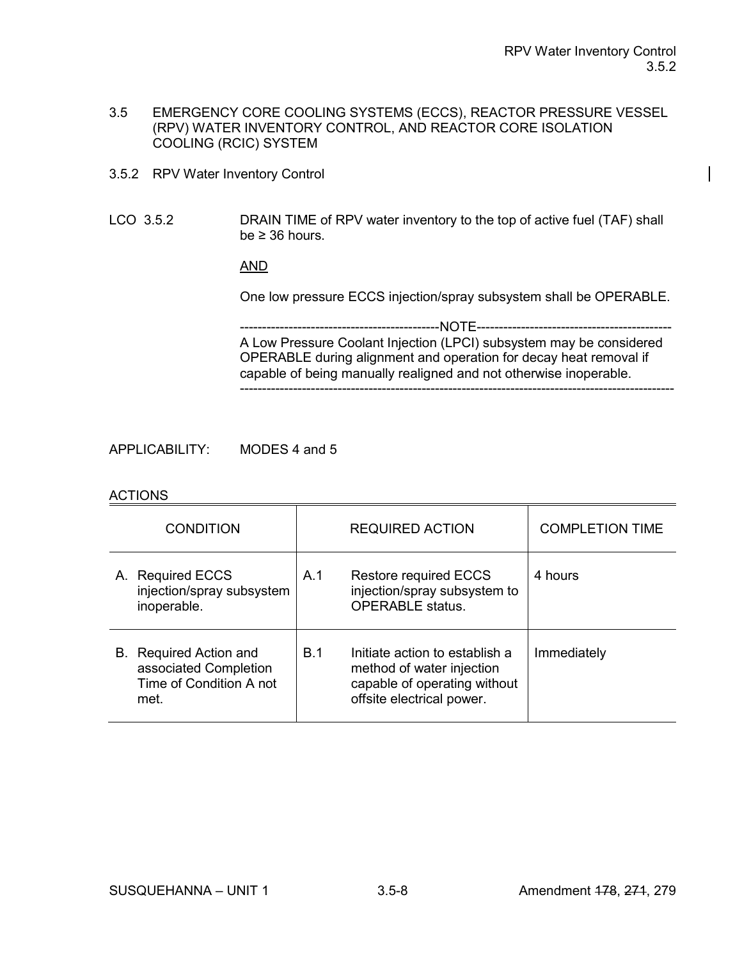- 3.5 EMERGENCY CORE COOLING SYSTEMS (ECCS), REACTOR PRESSURE VESSEL (RPV) WATER INVENTORY CONTROL, AND REACTOR CORE ISOLATION COOLING (RCIC) SYSTEM
- 3.5.2 RPV Water Inventory Control
- LCO 3.5.2 DRAIN TIME of RPV water inventory to the top of active fuel (TAF) shall be  $\geq$  36 hours.

# AND

One low pressure ECCS injection/spray subsystem shall be OPERABLE.

---NOTE----------A Low Pressure Coolant Injection (LPCI) subsystem may be considered OPERABLE during alignment and operation for decay heat removal if capable of being manually realigned and not otherwise inoperable. --------------------------------------------------------------------------------------------------

APPLICABILITY: MODES 4 and 5

#### ACTIONS

| <b>CONDITION</b>                                                                          |     | <b>REQUIRED ACTION</b>                                                                                                   | <b>COMPLETION TIME</b> |
|-------------------------------------------------------------------------------------------|-----|--------------------------------------------------------------------------------------------------------------------------|------------------------|
| A. Required ECCS<br>injection/spray subsystem<br>inoperable.                              | A.1 | <b>Restore required ECCS</b><br>injection/spray subsystem to<br><b>OPERABLE</b> status.                                  | 4 hours                |
| <b>B.</b> Required Action and<br>associated Completion<br>Time of Condition A not<br>met. | B.1 | Initiate action to establish a<br>method of water injection<br>capable of operating without<br>offsite electrical power. | Immediately            |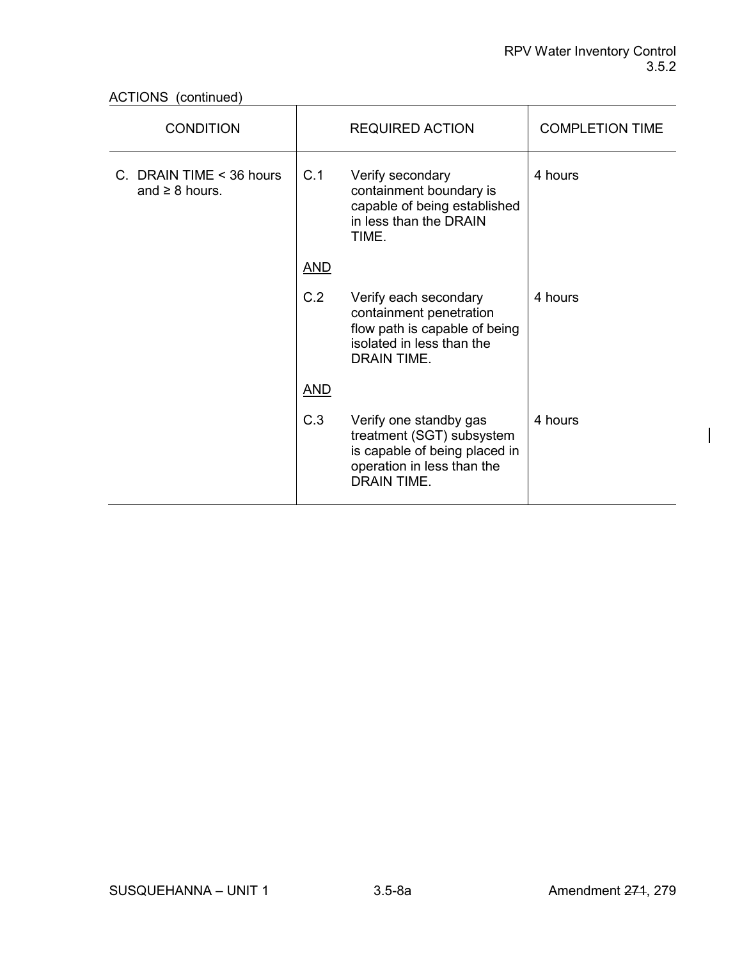ACTIONS (continued)

| <b>CONDITION</b>                                       |            | <b>REQUIRED ACTION</b>                                                                                                                   | <b>COMPLETION TIME</b> |
|--------------------------------------------------------|------------|------------------------------------------------------------------------------------------------------------------------------------------|------------------------|
| C. DRAIN TIME < 36 hours<br>C.1<br>and $\geq 8$ hours. |            | Verify secondary<br>containment boundary is<br>capable of being established<br>in less than the DRAIN<br>TIME.                           | 4 hours                |
|                                                        | <b>AND</b> |                                                                                                                                          |                        |
|                                                        | C.2        | Verify each secondary<br>containment penetration<br>flow path is capable of being<br>isolated in less than the<br>DRAIN TIME.            | 4 hours                |
|                                                        | <b>AND</b> |                                                                                                                                          |                        |
|                                                        | C.3        | Verify one standby gas<br>treatment (SGT) subsystem<br>is capable of being placed in<br>operation in less than the<br><b>DRAIN TIME.</b> | 4 hours                |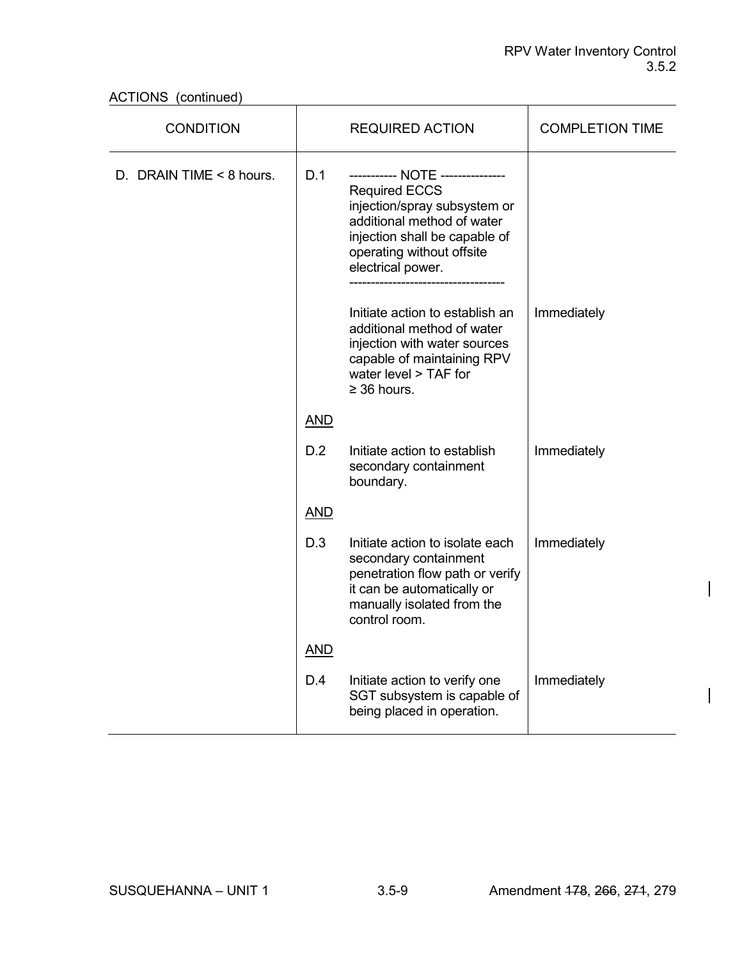ACTIONS (continued)

| <b>CONDITION</b>                |            | <b>REQUIRED ACTION</b>                                                                                                                                                                                  | <b>COMPLETION TIME</b> |
|---------------------------------|------------|---------------------------------------------------------------------------------------------------------------------------------------------------------------------------------------------------------|------------------------|
| D. DRAIN TIME < 8 hours.<br>D.1 |            | ----------- NOTE -------------<br><b>Required ECCS</b><br>injection/spray subsystem or<br>additional method of water<br>injection shall be capable of<br>operating without offsite<br>electrical power. |                        |
|                                 |            | Initiate action to establish an<br>additional method of water<br>injection with water sources<br>capable of maintaining RPV<br>water level > TAF for<br>$\geq$ 36 hours.                                | Immediately            |
|                                 | <b>AND</b> |                                                                                                                                                                                                         |                        |
|                                 | D.2        | Initiate action to establish<br>secondary containment<br>boundary.                                                                                                                                      | Immediately            |
|                                 | <b>AND</b> |                                                                                                                                                                                                         |                        |
|                                 | D.3        | Initiate action to isolate each<br>secondary containment<br>penetration flow path or verify<br>it can be automatically or<br>manually isolated from the<br>control room.                                | Immediately            |
|                                 | <b>AND</b> |                                                                                                                                                                                                         |                        |
|                                 | D.4        | Initiate action to verify one<br>SGT subsystem is capable of<br>being placed in operation.                                                                                                              | Immediately            |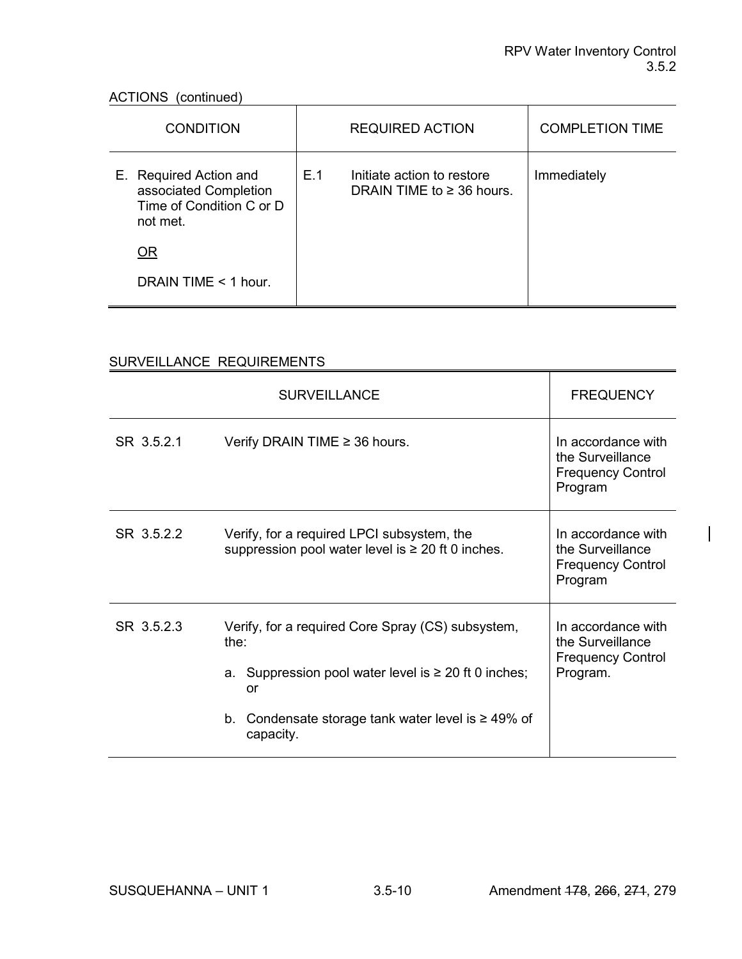# ACTIONS (continued)<br>
The continued of the continued of the continued of the continued of the continued of the continued of the continued of the continued of the continued of the continued of the continued of the continued

| <b>CONDITION</b>                                                                        | <b>REQUIRED ACTION</b>                                              | <b>COMPLETION TIME</b> |
|-----------------------------------------------------------------------------------------|---------------------------------------------------------------------|------------------------|
| E. Required Action and<br>associated Completion<br>Time of Condition C or D<br>not met. | E.1<br>Initiate action to restore<br>DRAIN TIME to $\geq$ 36 hours. | Immediately            |
| <b>OR</b>                                                                               |                                                                     |                        |
| DRAIN TIME $<$ 1 hour.                                                                  |                                                                     |                        |

# SURVEILLANCE REQUIREMENTS

|            | <b>SURVEILLANCE</b>                                                                                                                                                                                      | <b>FREQUENCY</b>                                                               |
|------------|----------------------------------------------------------------------------------------------------------------------------------------------------------------------------------------------------------|--------------------------------------------------------------------------------|
| SR 3.5.2.1 | In accordance with<br>the Surveillance<br><b>Frequency Control</b><br>Program                                                                                                                            |                                                                                |
| SR 3.5.2.2 | Verify, for a required LPCI subsystem, the<br>suppression pool water level is $\geq 20$ ft 0 inches.                                                                                                     | In accordance with<br>the Surveillance<br><b>Frequency Control</b><br>Program  |
| SR 3.5.2.3 | Verify, for a required Core Spray (CS) subsystem,<br>the:<br>a. Suppression pool water level is $\geq 20$ ft 0 inches;<br>or<br>Condensate storage tank water level is $\geq 49\%$ of<br>b.<br>capacity. | In accordance with<br>the Surveillance<br><b>Frequency Control</b><br>Program. |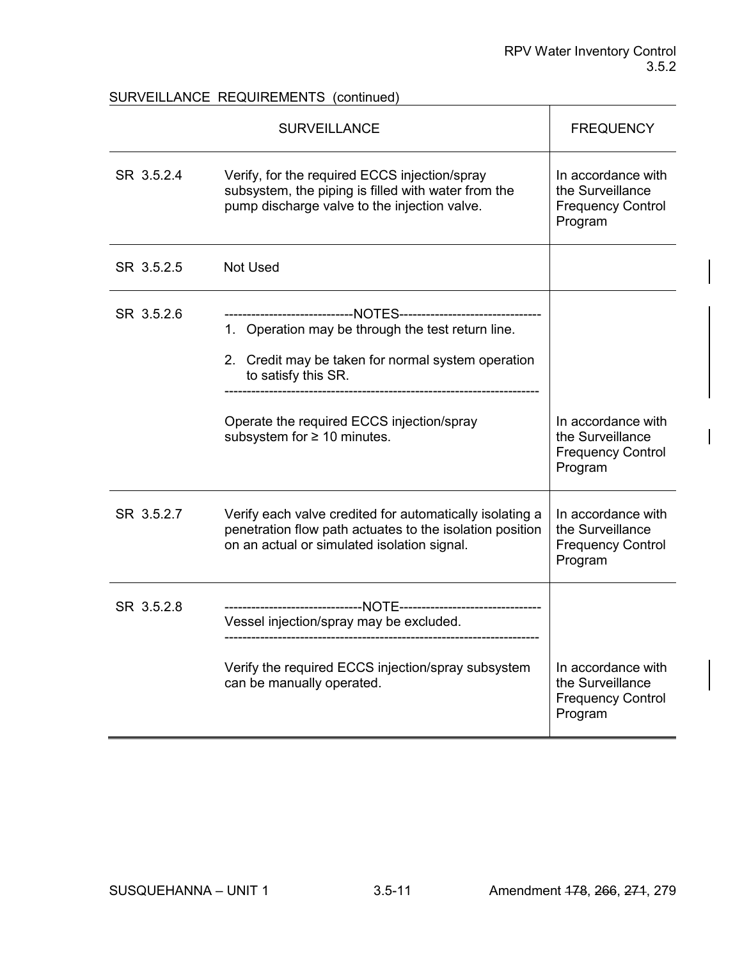# SURVEILLANCE REQUIREMENTS (continued)

|            | <b>SURVEILLANCE</b>                                                                                                                                                                                                                                                               | <b>FREQUENCY</b>                                                              |
|------------|-----------------------------------------------------------------------------------------------------------------------------------------------------------------------------------------------------------------------------------------------------------------------------------|-------------------------------------------------------------------------------|
| SR 3.5.2.4 | Verify, for the required ECCS injection/spray<br>subsystem, the piping is filled with water from the<br>pump discharge valve to the injection valve.                                                                                                                              | In accordance with<br>the Surveillance<br><b>Frequency Control</b><br>Program |
| SR 3.5.2.5 | <b>Not Used</b>                                                                                                                                                                                                                                                                   |                                                                               |
| SR 3.5.2.6 | -------------------------NOTES--------------------------------<br>1. Operation may be through the test return line.<br>2. Credit may be taken for normal system operation<br>to satisfy this SR.<br>Operate the required ECCS injection/spray<br>subsystem for $\geq 10$ minutes. | In accordance with<br>the Surveillance<br><b>Frequency Control</b><br>Program |
| SR 3.5.2.7 | Verify each valve credited for automatically isolating a<br>penetration flow path actuates to the isolation position<br>on an actual or simulated isolation signal.                                                                                                               | In accordance with<br>the Surveillance<br><b>Frequency Control</b><br>Program |
| SR 3.5.2.8 | Vessel injection/spray may be excluded.                                                                                                                                                                                                                                           |                                                                               |
|            | Verify the required ECCS injection/spray subsystem<br>can be manually operated.                                                                                                                                                                                                   | In accordance with<br>the Surveillance<br><b>Frequency Control</b><br>Program |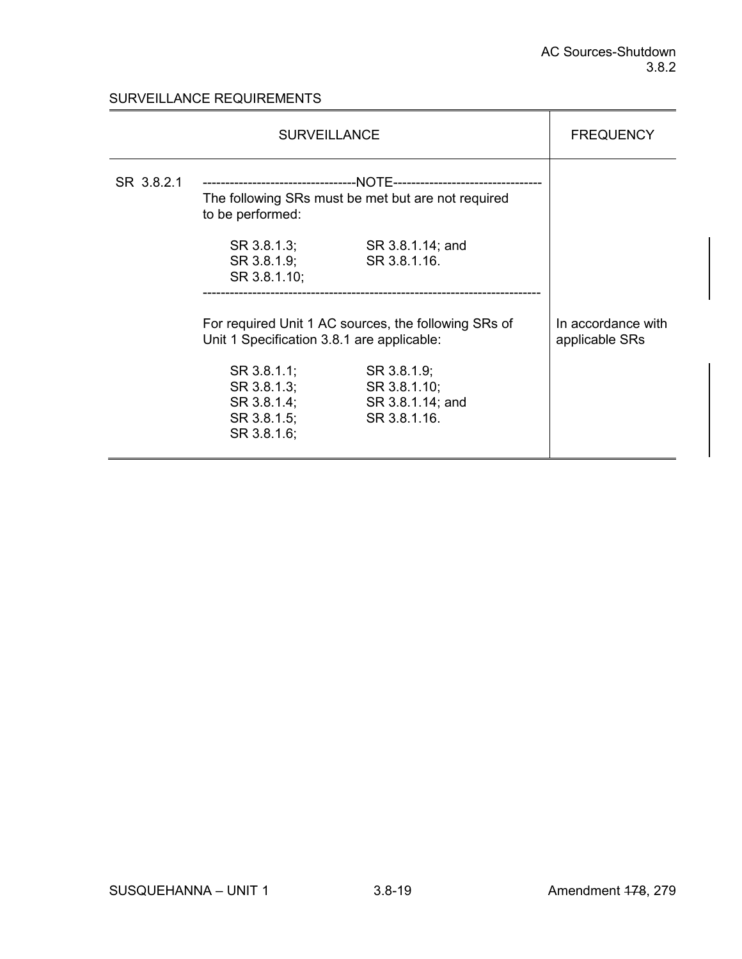# SURVEILLANCE REQUIREMENTS

|            | <b>SURVEILLANCE</b>                                                     |                                                                 |                                      |  |
|------------|-------------------------------------------------------------------------|-----------------------------------------------------------------|--------------------------------------|--|
| SR 3.8.2.1 | The following SRs must be met but are not required<br>to be performed:  |                                                                 |                                      |  |
|            | SR 3.8.1.3;<br>SR 3.8.1.9;<br>SR 3.8.1.10;                              | SR 3.8.1.14; and<br>SR 3.8.1.16.                                |                                      |  |
|            | Unit 1 Specification 3.8.1 are applicable:                              | For required Unit 1 AC sources, the following SRs of            | In accordance with<br>applicable SRs |  |
|            | SR 3.8.1.1;<br>SR 3.8.1.3;<br>SR 3.8.1.4;<br>SR 3.8.1.5;<br>SR 3.8.1.6; | SR 3.8.1.9;<br>SR 3.8.1.10;<br>SR 3.8.1.14; and<br>SR 3.8.1.16. |                                      |  |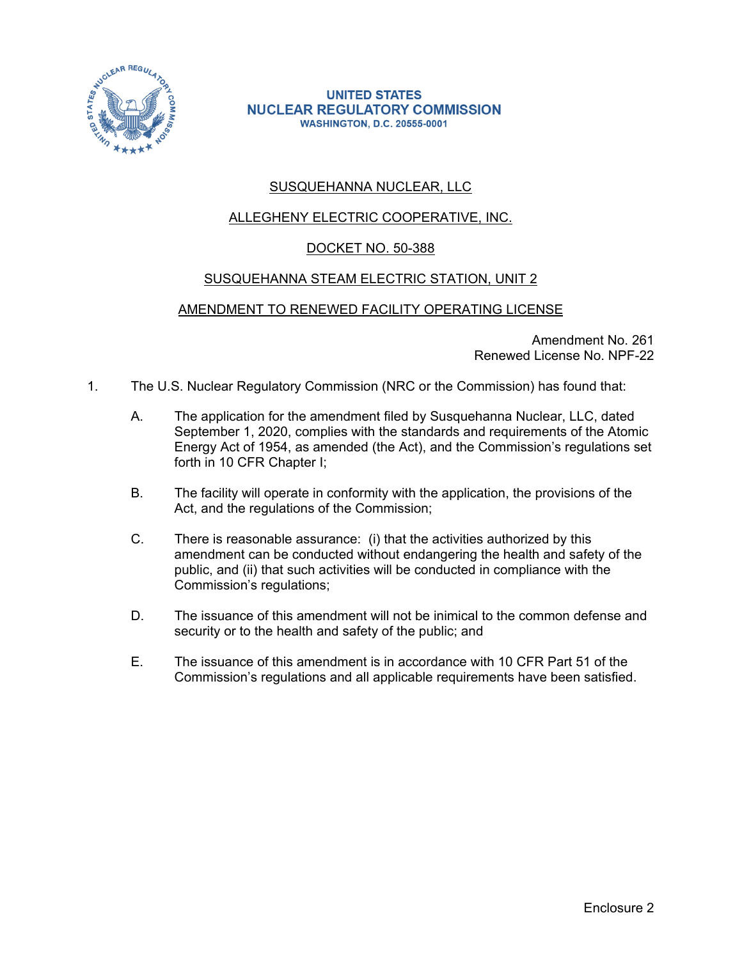

#### **UNITED STATES NUCLEAR REGULATORY COMMISSION WASHINGTON, D.C. 20555-0001**

# SUSQUEHANNA NUCLEAR, LLC

# ALLEGHENY ELECTRIC COOPERATIVE, INC.

# DOCKET NO. 50-388

# SUSQUEHANNA STEAM ELECTRIC STATION, UNIT 2

# AMENDMENT TO RENEWED FACILITY OPERATING LICENSE

Amendment No. 261 Renewed License No. NPF-22

- 1. The U.S. Nuclear Regulatory Commission (NRC or the Commission) has found that:
	- A. The application for the amendment filed by Susquehanna Nuclear, LLC, dated September 1, 2020, complies with the standards and requirements of the Atomic Energy Act of 1954, as amended (the Act), and the Commission's regulations set forth in 10 CFR Chapter I;
	- B. The facility will operate in conformity with the application, the provisions of the Act, and the regulations of the Commission;
	- C. There is reasonable assurance: (i) that the activities authorized by this amendment can be conducted without endangering the health and safety of the public, and (ii) that such activities will be conducted in compliance with the Commission's regulations;
	- D. The issuance of this amendment will not be inimical to the common defense and security or to the health and safety of the public; and
	- E. The issuance of this amendment is in accordance with 10 CFR Part 51 of the Commission's regulations and all applicable requirements have been satisfied.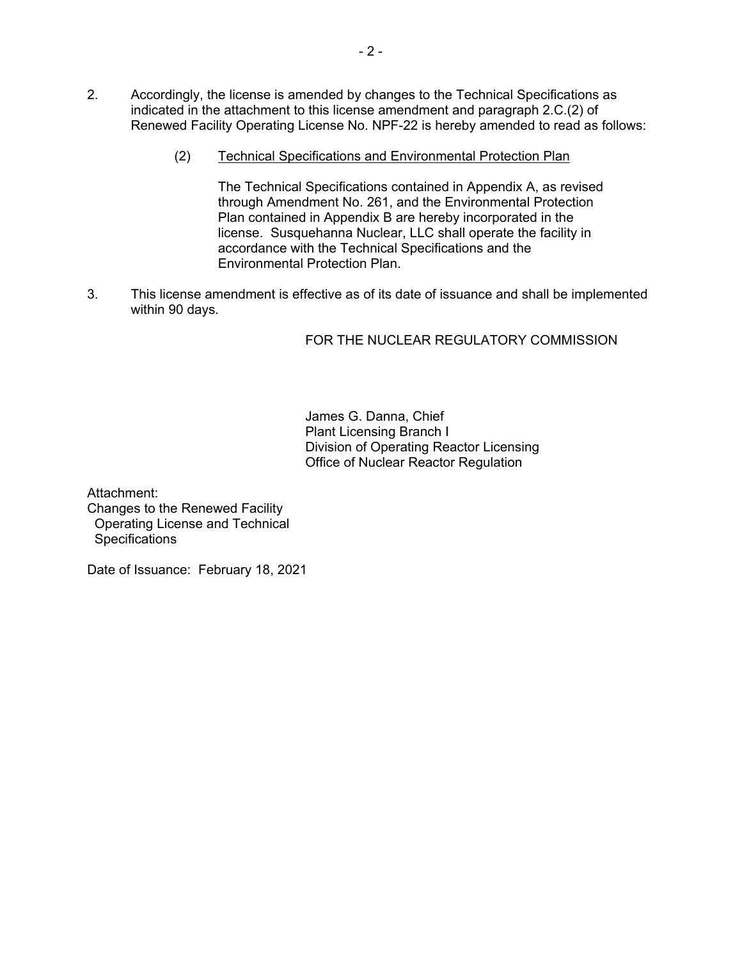- 2. Accordingly, the license is amended by changes to the Technical Specifications as indicated in the attachment to this license amendment and paragraph 2.C.(2) of Renewed Facility Operating License No. NPF-22 is hereby amended to read as follows:
	- (2) Technical Specifications and Environmental Protection Plan

The Technical Specifications contained in Appendix A, as revised through Amendment No. 261, and the Environmental Protection Plan contained in Appendix B are hereby incorporated in the license. Susquehanna Nuclear, LLC shall operate the facility in accordance with the Technical Specifications and the Environmental Protection Plan.

3. This license amendment is effective as of its date of issuance and shall be implemented within 90 days.

# FOR THE NUCLEAR REGULATORY COMMISSION

James G. Danna, Chief Plant Licensing Branch I Division of Operating Reactor Licensing Office of Nuclear Reactor Regulation

Attachment: Changes to the Renewed Facility Operating License and Technical **Specifications** 

Date of Issuance: February 18, 2021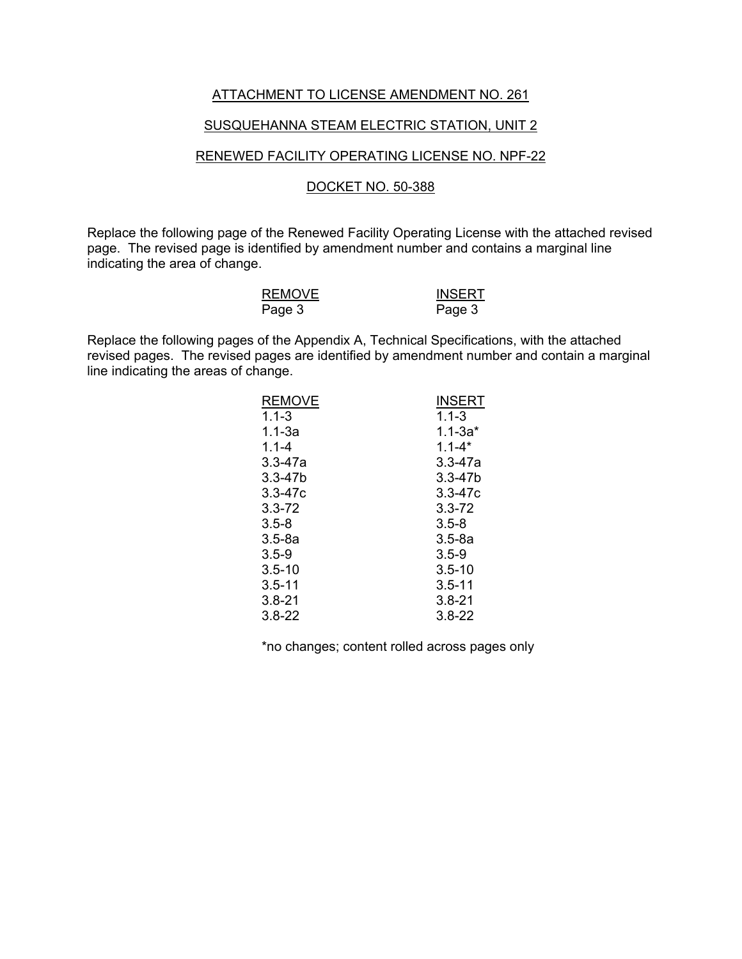#### ATTACHMENT TO LICENSE AMENDMENT NO. 261

#### SUSQUEHANNA STEAM ELECTRIC STATION, UNIT 2

#### RENEWED FACILITY OPERATING LICENSE NO. NPF-22

#### DOCKET NO. 50-388

Replace the following page of the Renewed Facility Operating License with the attached revised page. The revised page is identified by amendment number and contains a marginal line indicating the area of change.

| <b>REMOVE</b> | <b>INSERT</b> |
|---------------|---------------|
| Page 3        | Page 3        |

Replace the following pages of the Appendix A, Technical Specifications, with the attached revised pages. The revised pages are identified by amendment number and contain a marginal line indicating the areas of change.

| <b>REMOVE</b> | <b>INSERT</b> |
|---------------|---------------|
| $1.1 - 3$     | $1.1 - 3$     |
| $1.1 - 3a$    | $1.1 - 3a*$   |
| $1.1 - 4$     | $1.1 - 4*$    |
| $3.3 - 47a$   | $3.3 - 47a$   |
| $3.3 - 47b$   | $3.3 - 47b$   |
| $3.3 - 47c$   | $3.3 - 47c$   |
| $3.3 - 72$    | $3.3 - 72$    |
| $3.5 - 8$     | $3.5 - 8$     |
| $3.5-8a$      | $3.5 - 8a$    |
| $3.5 - 9$     | $3.5 - 9$     |
| $3.5 - 10$    | $3.5 - 10$    |
| $3.5 - 11$    | $3.5 - 11$    |
| $3.8 - 21$    | $3.8 - 21$    |
| $3.8 - 22$    | $3.8 - 22$    |

\*no changes; content rolled across pages only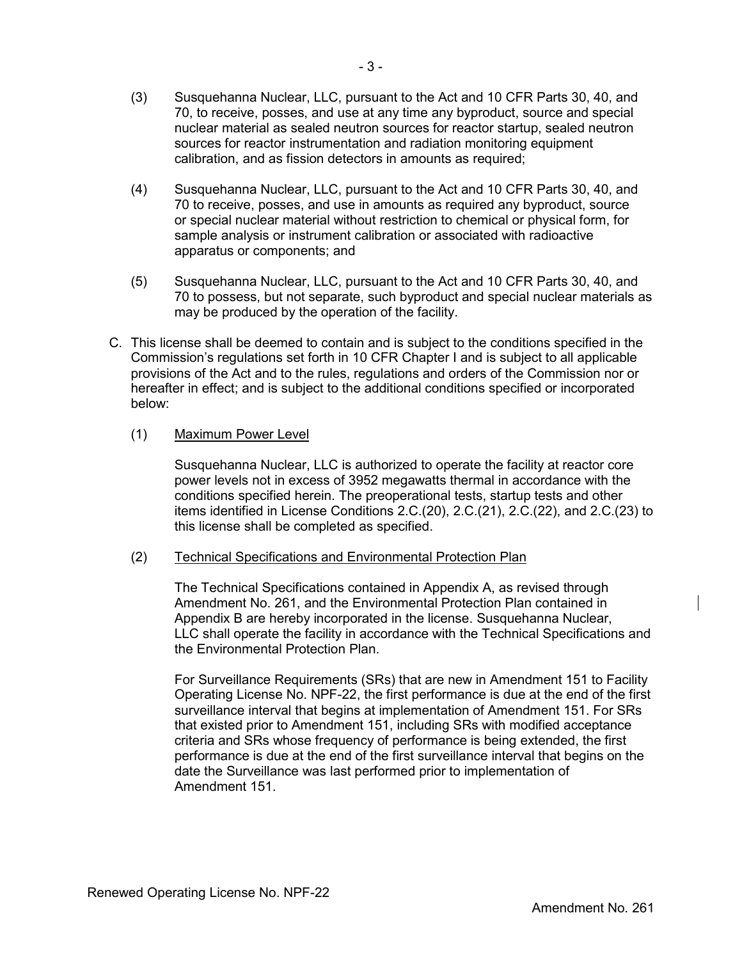- (4) Susquehanna Nuclear, LLC, pursuant to the Act and 10 CFR Parts 30, 40, and 70 to receive, posses, and use in amounts as required any byproduct, source or special nuclear material without restriction to chemical or physical form, for sample analysis or instrument calibration or associated with radioactive apparatus or components; and
- (5) Susquehanna Nuclear, LLC, pursuant to the Act and 10 CFR Parts 30, 40, and 70 to possess, but not separate, such byproduct and special nuclear materials as may be produced by the operation of the facility.
- C. This license shall be deemed to contain and is subject to the conditions specified in the Commission's regulations set forth in 10 CFR Chapter I and is subject to all applicable provisions of the Act and to the rules, regulations and orders of the Commission nor or hereafter in effect; and is subject to the additional conditions specified or incorporated below:

# (1) Maximum Power Level

Susquehanna Nuclear, LLC is authorized to operate the facility at reactor core power levels not in excess of 3952 megawatts thermal in accordance with the conditions specified herein. The preoperational tests, startup tests and other items identified in License Conditions 2.C.(20), 2.C.(21), 2.C.(22), and 2.C.(23) to this license shall be completed as specified.

# (2) Technical Specifications and Environmental Protection Plan

The Technical Specifications contained in Appendix A, as revised through Amendment No. 261, and the Environmental Protection Plan contained in Appendix B are hereby incorporated in the license. Susquehanna Nuclear, LLC shall operate the facility in accordance with the Technical Specifications and the Environmental Protection Plan.

For Surveillance Requirements (SRs) that are new in Amendment 151 to Facility Operating License No. NPF-22, the first performance is due at the end of the first surveillance interval that begins at implementation of Amendment 151. For SRs that existed prior to Amendment 151, including SRs with modified acceptance criteria and SRs whose frequency of performance is being extended, the first performance is due at the end of the first surveillance interval that begins on the date the Surveillance was last performed prior to implementation of Amendment 151.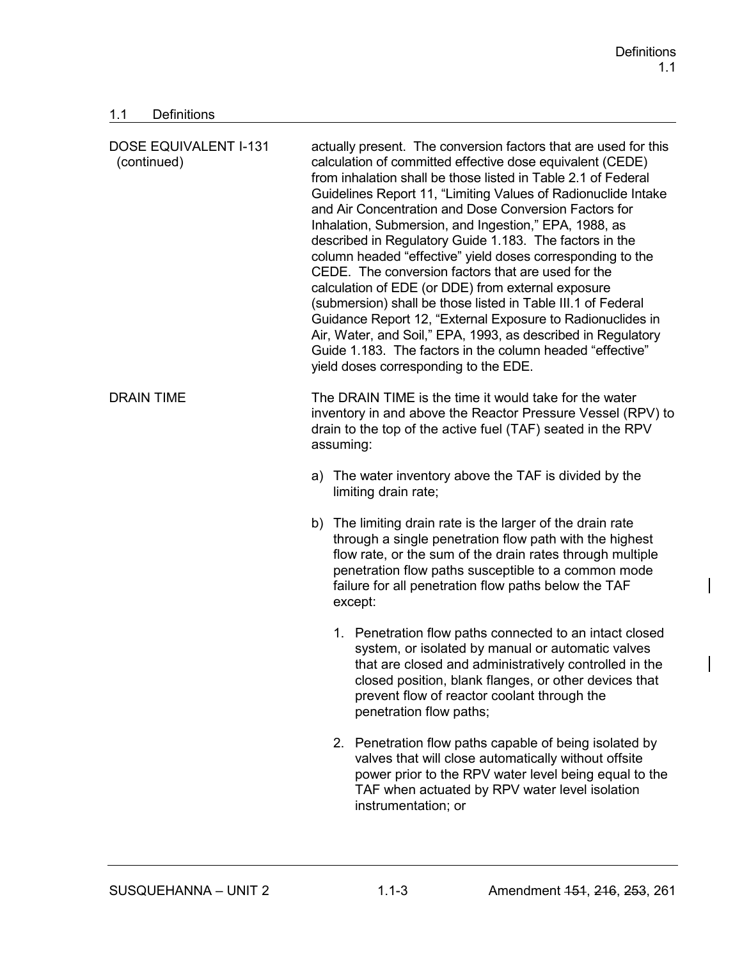$\overline{\phantom{a}}$ 

 $\overline{\phantom{a}}$ 

# 1.1 Definitions

| <b>DOSE EQUIVALENT I-131</b><br>(continued) | actually present. The conversion factors that are used for this<br>calculation of committed effective dose equivalent (CEDE)<br>from inhalation shall be those listed in Table 2.1 of Federal<br>Guidelines Report 11, "Limiting Values of Radionuclide Intake<br>and Air Concentration and Dose Conversion Factors for<br>Inhalation, Submersion, and Ingestion," EPA, 1988, as<br>described in Regulatory Guide 1.183. The factors in the<br>column headed "effective" yield doses corresponding to the<br>CEDE. The conversion factors that are used for the<br>calculation of EDE (or DDE) from external exposure<br>(submersion) shall be those listed in Table III.1 of Federal<br>Guidance Report 12, "External Exposure to Radionuclides in<br>Air, Water, and Soil," EPA, 1993, as described in Regulatory<br>Guide 1.183. The factors in the column headed "effective"<br>yield doses corresponding to the EDE. |  |  |
|---------------------------------------------|---------------------------------------------------------------------------------------------------------------------------------------------------------------------------------------------------------------------------------------------------------------------------------------------------------------------------------------------------------------------------------------------------------------------------------------------------------------------------------------------------------------------------------------------------------------------------------------------------------------------------------------------------------------------------------------------------------------------------------------------------------------------------------------------------------------------------------------------------------------------------------------------------------------------------|--|--|
| <b>DRAIN TIME</b>                           | The DRAIN TIME is the time it would take for the water<br>inventory in and above the Reactor Pressure Vessel (RPV) to<br>drain to the top of the active fuel (TAF) seated in the RPV<br>assuming:                                                                                                                                                                                                                                                                                                                                                                                                                                                                                                                                                                                                                                                                                                                         |  |  |
|                                             | a) The water inventory above the TAF is divided by the<br>limiting drain rate;                                                                                                                                                                                                                                                                                                                                                                                                                                                                                                                                                                                                                                                                                                                                                                                                                                            |  |  |
|                                             | b) The limiting drain rate is the larger of the drain rate<br>through a single penetration flow path with the highest<br>flow rate, or the sum of the drain rates through multiple<br>penetration flow paths susceptible to a common mode<br>failure for all penetration flow paths below the TAF<br>except:                                                                                                                                                                                                                                                                                                                                                                                                                                                                                                                                                                                                              |  |  |
|                                             | 1. Penetration flow paths connected to an intact closed<br>system, or isolated by manual or automatic valves<br>that are closed and administratively controlled in the<br>closed position, blank flanges, or other devices that<br>prevent flow of reactor coolant through the<br>penetration flow paths;                                                                                                                                                                                                                                                                                                                                                                                                                                                                                                                                                                                                                 |  |  |
|                                             | 2. Penetration flow paths capable of being isolated by<br>valves that will close automatically without offsite<br>power prior to the RPV water level being equal to the<br>TAF when actuated by RPV water level isolation<br>instrumentation; or                                                                                                                                                                                                                                                                                                                                                                                                                                                                                                                                                                                                                                                                          |  |  |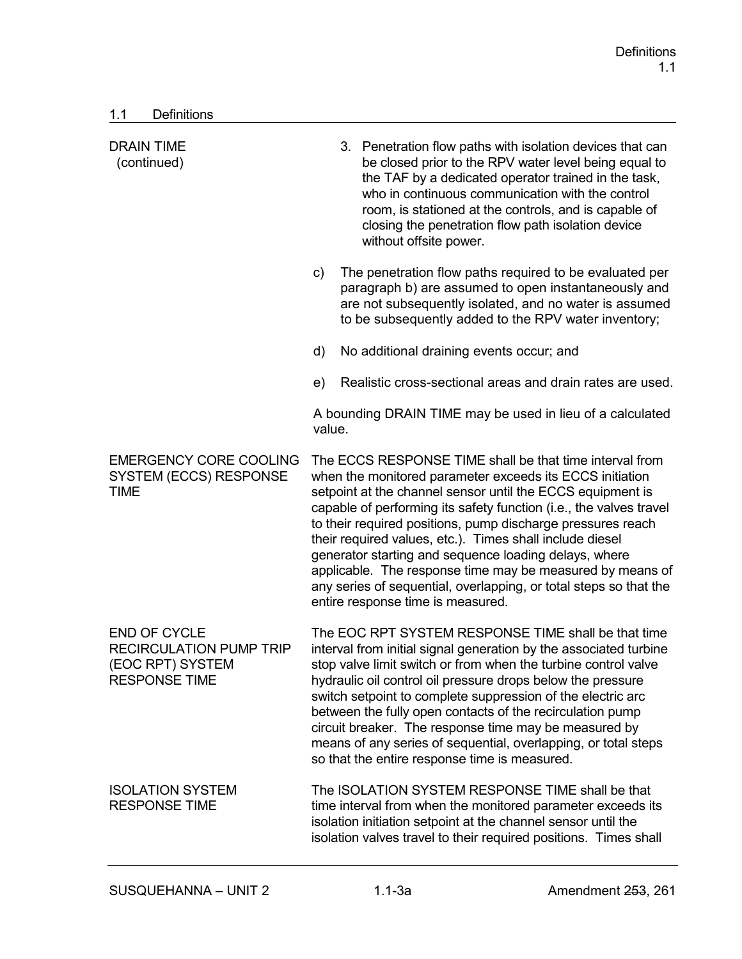| <b>DRAIN TIME</b><br>(continued)                                                                  |        | 3. Penetration flow paths with isolation devices that can<br>be closed prior to the RPV water level being equal to<br>the TAF by a dedicated operator trained in the task,<br>who in continuous communication with the control<br>room, is stationed at the controls, and is capable of<br>closing the penetration flow path isolation device<br>without offsite power.                                                                                                                                                                                                                                            |
|---------------------------------------------------------------------------------------------------|--------|--------------------------------------------------------------------------------------------------------------------------------------------------------------------------------------------------------------------------------------------------------------------------------------------------------------------------------------------------------------------------------------------------------------------------------------------------------------------------------------------------------------------------------------------------------------------------------------------------------------------|
|                                                                                                   | c)     | The penetration flow paths required to be evaluated per<br>paragraph b) are assumed to open instantaneously and<br>are not subsequently isolated, and no water is assumed<br>to be subsequently added to the RPV water inventory;                                                                                                                                                                                                                                                                                                                                                                                  |
|                                                                                                   | d)     | No additional draining events occur; and                                                                                                                                                                                                                                                                                                                                                                                                                                                                                                                                                                           |
|                                                                                                   | e)     | Realistic cross-sectional areas and drain rates are used.                                                                                                                                                                                                                                                                                                                                                                                                                                                                                                                                                          |
|                                                                                                   | value. | A bounding DRAIN TIME may be used in lieu of a calculated                                                                                                                                                                                                                                                                                                                                                                                                                                                                                                                                                          |
| <b>EMERGENCY CORE COOLING</b><br><b>SYSTEM (ECCS) RESPONSE</b><br><b>TIME</b>                     |        | The ECCS RESPONSE TIME shall be that time interval from<br>when the monitored parameter exceeds its ECCS initiation<br>setpoint at the channel sensor until the ECCS equipment is<br>capable of performing its safety function (i.e., the valves travel<br>to their required positions, pump discharge pressures reach<br>their required values, etc.). Times shall include diesel<br>generator starting and sequence loading delays, where<br>applicable. The response time may be measured by means of<br>any series of sequential, overlapping, or total steps so that the<br>entire response time is measured. |
| <b>END OF CYCLE</b><br><b>RECIRCULATION PUMP TRIP</b><br>(EOC RPT) SYSTEM<br><b>RESPONSE TIME</b> |        | The EOC RPT SYSTEM RESPONSE TIME shall be that time<br>interval from initial signal generation by the associated turbine<br>stop valve limit switch or from when the turbine control valve<br>hydraulic oil control oil pressure drops below the pressure<br>switch setpoint to complete suppression of the electric arc<br>between the fully open contacts of the recirculation pump<br>circuit breaker. The response time may be measured by<br>means of any series of sequential, overlapping, or total steps<br>so that the entire response time is measured.                                                  |
| <b>ISOLATION SYSTEM</b><br><b>RESPONSE TIME</b>                                                   |        | The ISOLATION SYSTEM RESPONSE TIME shall be that<br>time interval from when the monitored parameter exceeds its<br>isolation initiation setpoint at the channel sensor until the<br>isolation valves travel to their required positions. Times shall                                                                                                                                                                                                                                                                                                                                                               |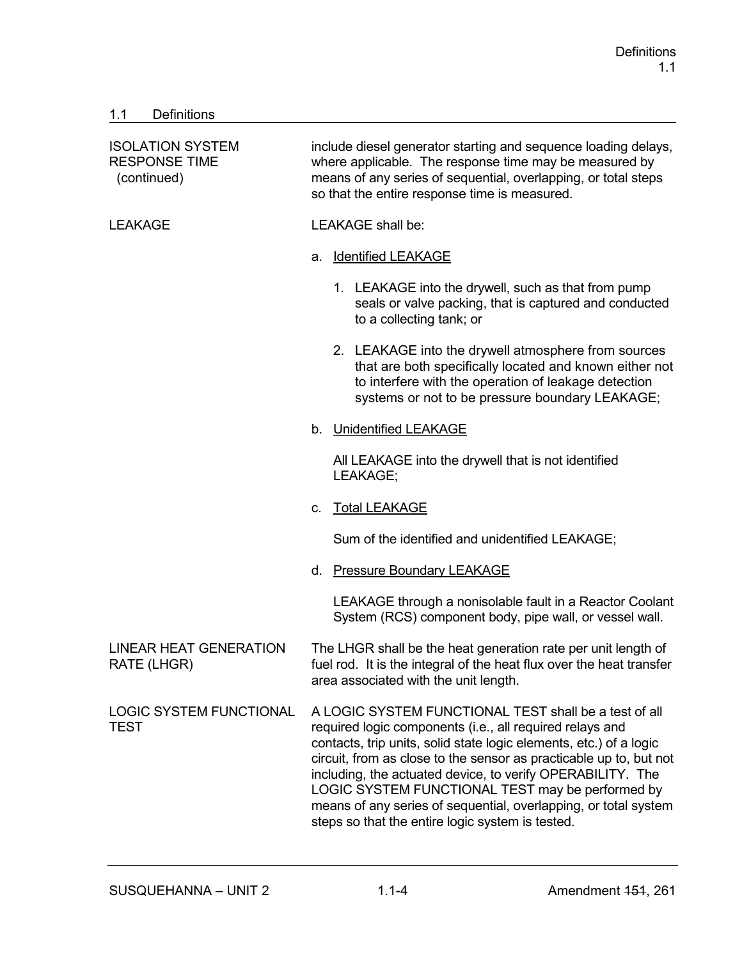# 1.1 Definitions

| <b>ISOLATION SYSTEM</b><br><b>RESPONSE TIME</b><br>(continued) | include diesel generator starting and sequence loading delays,<br>where applicable. The response time may be measured by<br>means of any series of sequential, overlapping, or total steps<br>so that the entire response time is measured.                                                                                                                                                                                                                                                            |  |  |
|----------------------------------------------------------------|--------------------------------------------------------------------------------------------------------------------------------------------------------------------------------------------------------------------------------------------------------------------------------------------------------------------------------------------------------------------------------------------------------------------------------------------------------------------------------------------------------|--|--|
| <b>LEAKAGE</b>                                                 | <b>LEAKAGE</b> shall be:                                                                                                                                                                                                                                                                                                                                                                                                                                                                               |  |  |
|                                                                | <b>Identified LEAKAGE</b><br>a.                                                                                                                                                                                                                                                                                                                                                                                                                                                                        |  |  |
|                                                                | 1. LEAKAGE into the drywell, such as that from pump<br>seals or valve packing, that is captured and conducted<br>to a collecting tank; or                                                                                                                                                                                                                                                                                                                                                              |  |  |
|                                                                | 2. LEAKAGE into the drywell atmosphere from sources<br>that are both specifically located and known either not<br>to interfere with the operation of leakage detection<br>systems or not to be pressure boundary LEAKAGE;                                                                                                                                                                                                                                                                              |  |  |
|                                                                | b. Unidentified LEAKAGE                                                                                                                                                                                                                                                                                                                                                                                                                                                                                |  |  |
|                                                                | All LEAKAGE into the drywell that is not identified<br>LEAKAGE;                                                                                                                                                                                                                                                                                                                                                                                                                                        |  |  |
|                                                                | <b>Total LEAKAGE</b><br>C.                                                                                                                                                                                                                                                                                                                                                                                                                                                                             |  |  |
|                                                                | Sum of the identified and unidentified LEAKAGE;                                                                                                                                                                                                                                                                                                                                                                                                                                                        |  |  |
|                                                                | <b>Pressure Boundary LEAKAGE</b><br>d.                                                                                                                                                                                                                                                                                                                                                                                                                                                                 |  |  |
|                                                                | LEAKAGE through a nonisolable fault in a Reactor Coolant<br>System (RCS) component body, pipe wall, or vessel wall.                                                                                                                                                                                                                                                                                                                                                                                    |  |  |
| <b>LINEAR HEAT GENERATION</b><br>RATE (LHGR)                   | The LHGR shall be the heat generation rate per unit length of<br>fuel rod. It is the integral of the heat flux over the heat transfer<br>area associated with the unit length.                                                                                                                                                                                                                                                                                                                         |  |  |
| <b>LOGIC SYSTEM FUNCTIONAL</b><br><b>TEST</b>                  | A LOGIC SYSTEM FUNCTIONAL TEST shall be a test of all<br>required logic components (i.e., all required relays and<br>contacts, trip units, solid state logic elements, etc.) of a logic<br>circuit, from as close to the sensor as practicable up to, but not<br>including, the actuated device, to verify OPERABILITY. The<br>LOGIC SYSTEM FUNCTIONAL TEST may be performed by<br>means of any series of sequential, overlapping, or total system<br>steps so that the entire logic system is tested. |  |  |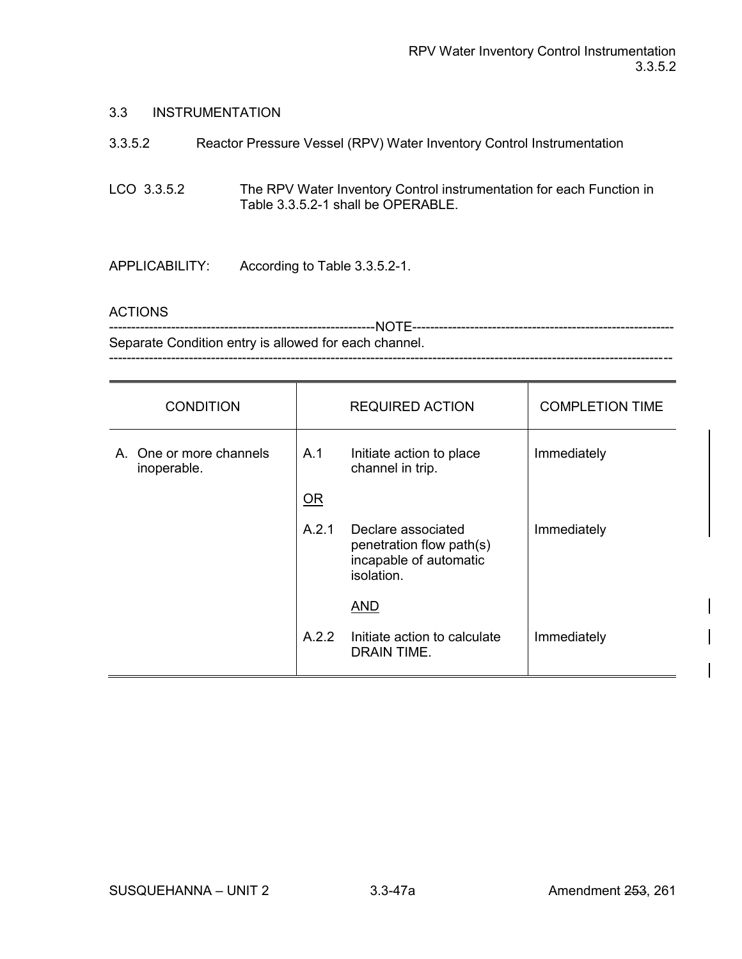#### 3.3 INSTRUMENTATION

| 3.3.5.2        | Reactor Pressure Vessel (RPV) Water Inventory Control Instrumentation                                      |
|----------------|------------------------------------------------------------------------------------------------------------|
| LCO 3.3.5.2    | The RPV Water Inventory Control instrumentation for each Function in<br>Table 3.3.5.2-1 shall be OPERABLE. |
| APPLICABILITY: | According to Table 3.3.5.2-1.                                                                              |

#### ACTIONS

| Separate Condition entry is allowed for each channel. |
|-------------------------------------------------------|
|                                                       |

| <b>CONDITION</b>                       |       | <b>REQUIRED ACTION</b>                                                                 | <b>COMPLETION TIME</b> |
|----------------------------------------|-------|----------------------------------------------------------------------------------------|------------------------|
| A. One or more channels<br>inoperable. | A.1   | Initiate action to place<br>channel in trip.                                           | Immediately            |
|                                        | OR    |                                                                                        |                        |
|                                        | A.2.1 | Declare associated<br>penetration flow path(s)<br>incapable of automatic<br>isolation. | Immediately            |
|                                        |       | <b>AND</b>                                                                             |                        |
|                                        | A.2.2 | Initiate action to calculate<br>DRAIN TIME.                                            | Immediately            |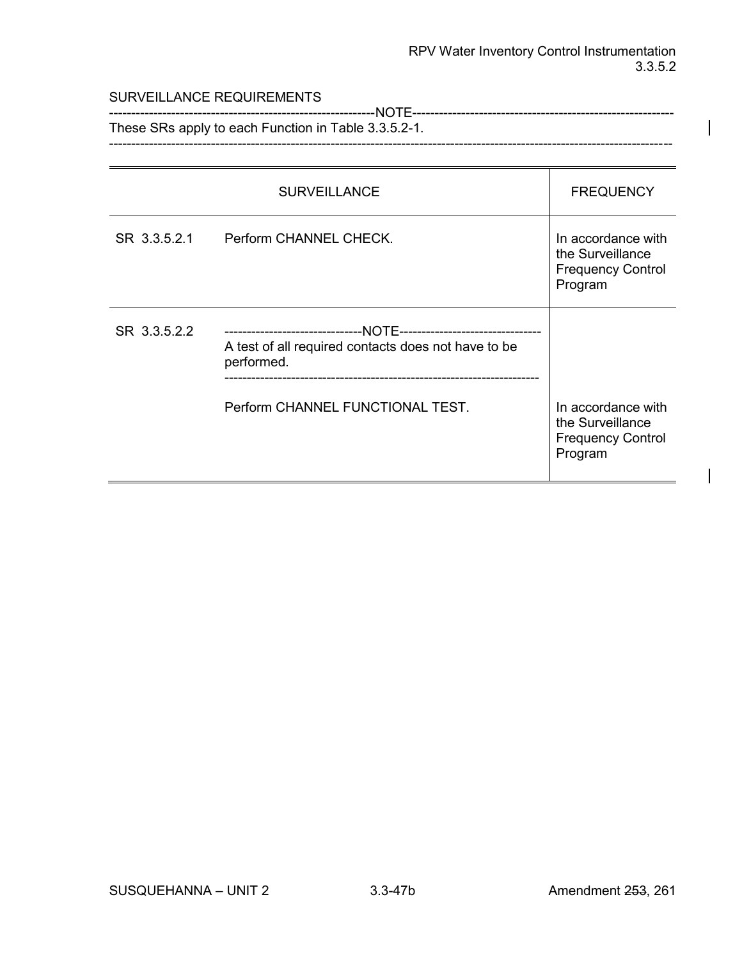#### SURVEILLANCE REQUIREMENTS

------------------------------------------------------------NOTE----------------------------------------------------------- These SRs apply to each Function in Table 3.3.5.2-1. -------------------------------------------------------------------------------------------------------------------------------

|              | <b>SURVEILLANCE</b>                                               | <b>FREQUENCY</b>                                                              |
|--------------|-------------------------------------------------------------------|-------------------------------------------------------------------------------|
| SR 3.3.5.2.1 | Perform CHANNEL CHECK.                                            | In accordance with<br>the Surveillance<br><b>Frequency Control</b><br>Program |
| SR 3.3.5.2.2 | A test of all required contacts does not have to be<br>performed. |                                                                               |
|              | Perform CHANNEL FUNCTIONAL TEST.                                  | In accordance with<br>the Surveillance<br><b>Frequency Control</b><br>Program |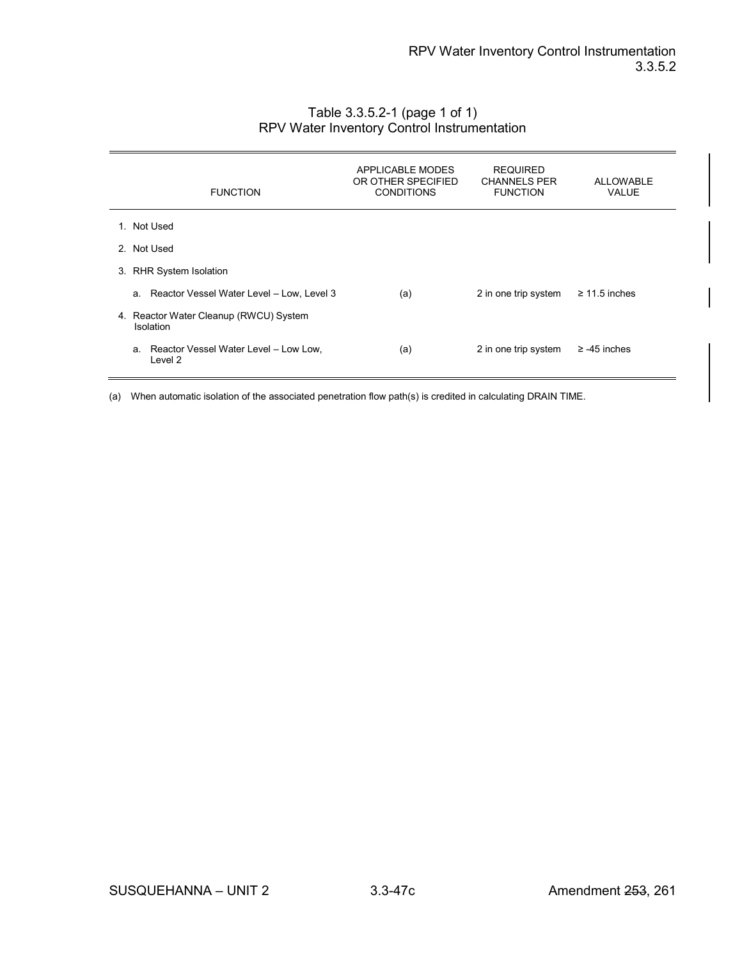| <b>FUNCTION</b>                                     | APPLICABLE MODES<br>OR OTHER SPECIFIED<br><b>CONDITIONS</b> | <b>REQUIRED</b><br><b>CHANNELS PER</b><br><b>FUNCTION</b> | <b>ALLOWABLE</b><br><b>VALUE</b> |
|-----------------------------------------------------|-------------------------------------------------------------|-----------------------------------------------------------|----------------------------------|
| 1. Not Used                                         |                                                             |                                                           |                                  |
| 2. Not Used                                         |                                                             |                                                           |                                  |
| 3. RHR System Isolation                             |                                                             |                                                           |                                  |
| a. Reactor Vessel Water Level - Low, Level 3        | (a)                                                         | 2 in one trip system                                      | $\geq$ 11.5 inches               |
| 4. Reactor Water Cleanup (RWCU) System<br>Isolation |                                                             |                                                           |                                  |
| a. Reactor Vessel Water Level - Low Low,<br>Level 2 | (a)                                                         | 2 in one trip system                                      | $\ge$ -45 inches                 |

# Table 3.3.5.2-1 (page 1 of 1) RPV Water Inventory Control Instrumentation

(a) When automatic isolation of the associated penetration flow path(s) is credited in calculating DRAIN TIME.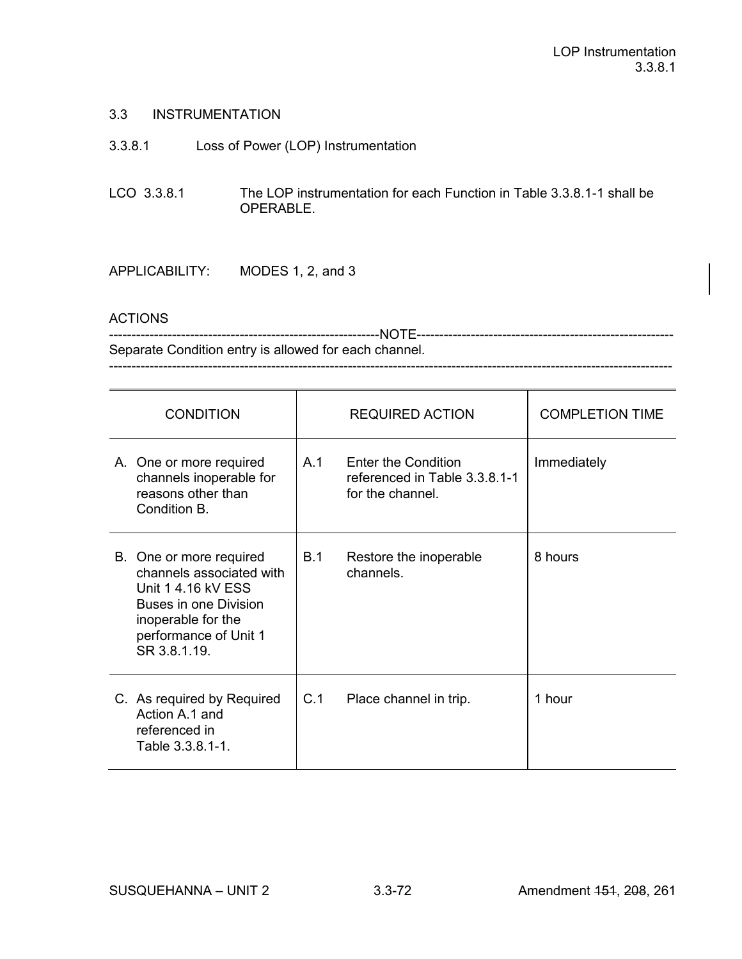# 3.3 INSTRUMENTATION

- 3.3.8.1 Loss of Power (LOP) Instrumentation
- LCO 3.3.8.1 The LOP instrumentation for each Function in Table 3.3.8.1-1 shall be OPERABLE.

# APPLICABILITY: MODES 1, 2, and 3

#### **ACTIONS**

------------------------------------------------------------NOTE--------------------------------------------------------- Separate Condition entry is allowed for each channel.

-----------------------------------------------------------------------------------------------------------------------------

| <b>CONDITION</b> |                                                                                                                                                                   | <b>REQUIRED ACTION</b> |                                                                                 | <b>COMPLETION TIME</b> |
|------------------|-------------------------------------------------------------------------------------------------------------------------------------------------------------------|------------------------|---------------------------------------------------------------------------------|------------------------|
|                  | A. One or more required<br>channels inoperable for<br>reasons other than<br>Condition B.                                                                          | A.1                    | <b>Enter the Condition</b><br>referenced in Table 3.3.8.1-1<br>for the channel. | Immediately            |
|                  | B. One or more required<br>channels associated with<br>Unit 1 4.16 kV ESS<br>Buses in one Division<br>inoperable for the<br>performance of Unit 1<br>SR 3.8.1.19. | B.1                    | Restore the inoperable<br>channels.                                             | 8 hours                |
|                  | C. As required by Required<br>Action A.1 and<br>referenced in<br>Table 3.3.8.1-1.                                                                                 | C.1                    | Place channel in trip.                                                          | 1 hour                 |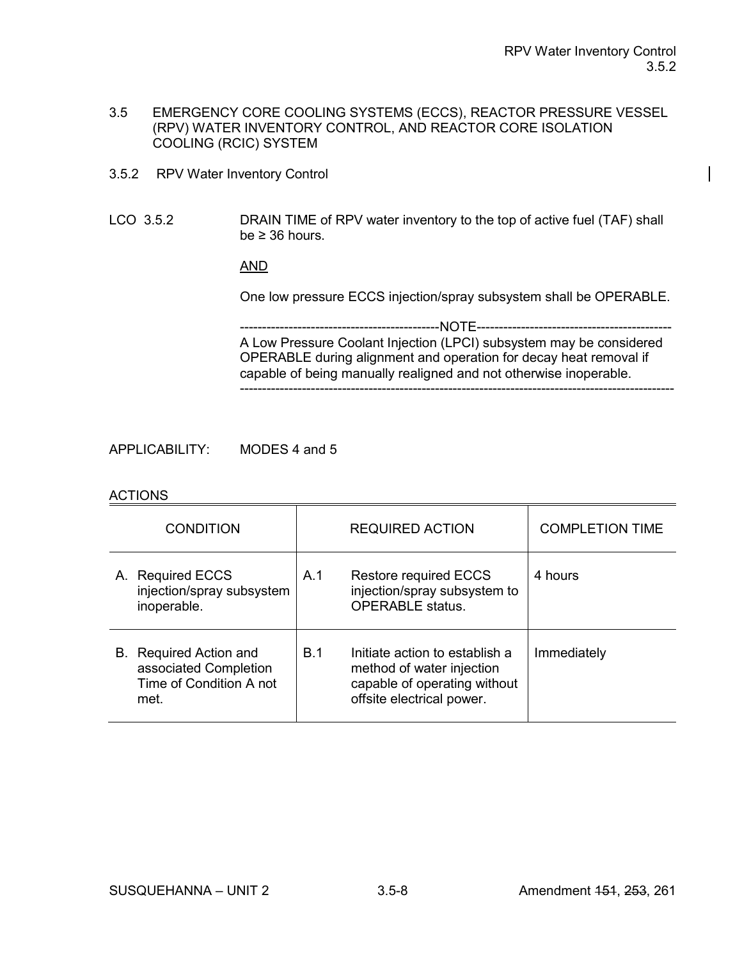- 3.5 EMERGENCY CORE COOLING SYSTEMS (ECCS), REACTOR PRESSURE VESSEL (RPV) WATER INVENTORY CONTROL, AND REACTOR CORE ISOLATION COOLING (RCIC) SYSTEM
- 3.5.2 RPV Water Inventory Control
- LCO 3.5.2 DRAIN TIME of RPV water inventory to the top of active fuel (TAF) shall be  $\geq$  36 hours.

# AND

One low pressure ECCS injection/spray subsystem shall be OPERABLE.

---NOTE----------A Low Pressure Coolant Injection (LPCI) subsystem may be considered OPERABLE during alignment and operation for decay heat removal if capable of being manually realigned and not otherwise inoperable. --------------------------------------------------------------------------------------------------

APPLICABILITY: MODES 4 and 5

#### ACTIONS

| <b>CONDITION</b> |                                                                                           |     | <b>REQUIRED ACTION</b>                                                                                                   | <b>COMPLETION TIME</b> |
|------------------|-------------------------------------------------------------------------------------------|-----|--------------------------------------------------------------------------------------------------------------------------|------------------------|
|                  | A. Required ECCS<br>injection/spray subsystem<br>inoperable.                              | A.1 | <b>Restore required ECCS</b><br>injection/spray subsystem to<br><b>OPERABLE</b> status.                                  | 4 hours                |
|                  | <b>B.</b> Required Action and<br>associated Completion<br>Time of Condition A not<br>met. | B.1 | Initiate action to establish a<br>method of water injection<br>capable of operating without<br>offsite electrical power. | Immediately            |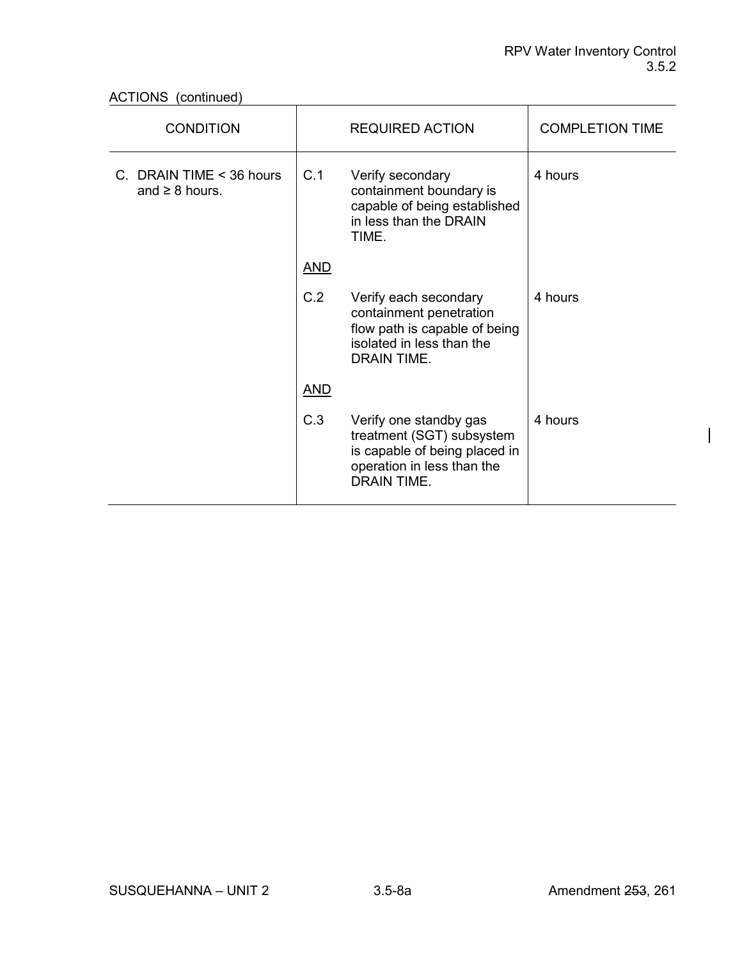ACTIONS (continued)

| <b>CONDITION</b>                                |            | <b>REQUIRED ACTION</b>                                                                                                                   | <b>COMPLETION TIME</b> |
|-------------------------------------------------|------------|------------------------------------------------------------------------------------------------------------------------------------------|------------------------|
| C. DRAIN TIME < 36 hours<br>and $\geq 8$ hours. | C.1        | Verify secondary<br>containment boundary is<br>capable of being established<br>in less than the DRAIN<br>TIME.                           | 4 hours                |
|                                                 | <b>AND</b> |                                                                                                                                          |                        |
|                                                 | C.2        | Verify each secondary<br>containment penetration<br>flow path is capable of being<br>isolated in less than the<br>DRAIN TIME.            | 4 hours                |
|                                                 | <b>AND</b> |                                                                                                                                          |                        |
|                                                 | C.3        | Verify one standby gas<br>treatment (SGT) subsystem<br>is capable of being placed in<br>operation in less than the<br><b>DRAIN TIME.</b> | 4 hours                |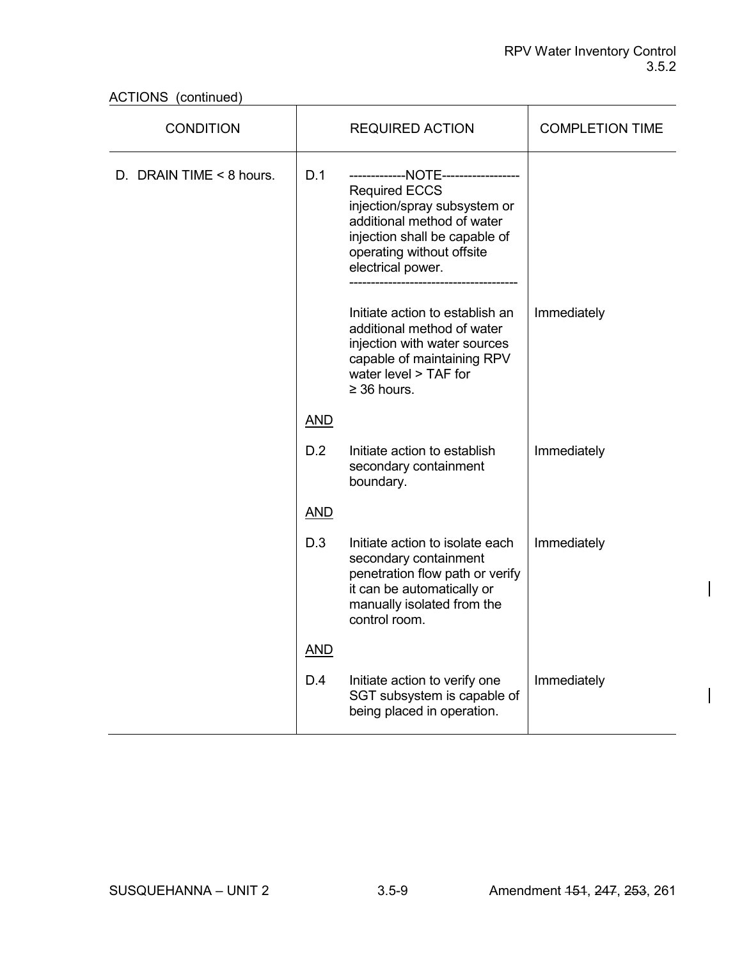ACTIONS (continued)

| <b>CONDITION</b>         |            | <b>REQUIRED ACTION</b>                                                                                                                                                                                 | <b>COMPLETION TIME</b> |
|--------------------------|------------|--------------------------------------------------------------------------------------------------------------------------------------------------------------------------------------------------------|------------------------|
| D. DRAIN TIME < 8 hours. | D.1        | ------------NOTE-------------<br><b>Required ECCS</b><br>injection/spray subsystem or<br>additional method of water<br>injection shall be capable of<br>operating without offsite<br>electrical power. |                        |
|                          |            | Initiate action to establish an<br>additional method of water<br>injection with water sources<br>capable of maintaining RPV<br>water level > TAF for<br>$\geq$ 36 hours.                               | Immediately            |
|                          | <b>AND</b> |                                                                                                                                                                                                        |                        |
|                          | D.2        | Initiate action to establish<br>secondary containment<br>boundary.                                                                                                                                     | Immediately            |
|                          | <b>AND</b> |                                                                                                                                                                                                        |                        |
|                          | D.3        | Initiate action to isolate each<br>secondary containment<br>penetration flow path or verify<br>it can be automatically or<br>manually isolated from the<br>control room.                               | Immediately            |
|                          | <b>AND</b> |                                                                                                                                                                                                        |                        |
|                          | D.4        | Initiate action to verify one<br>SGT subsystem is capable of<br>being placed in operation.                                                                                                             | Immediately            |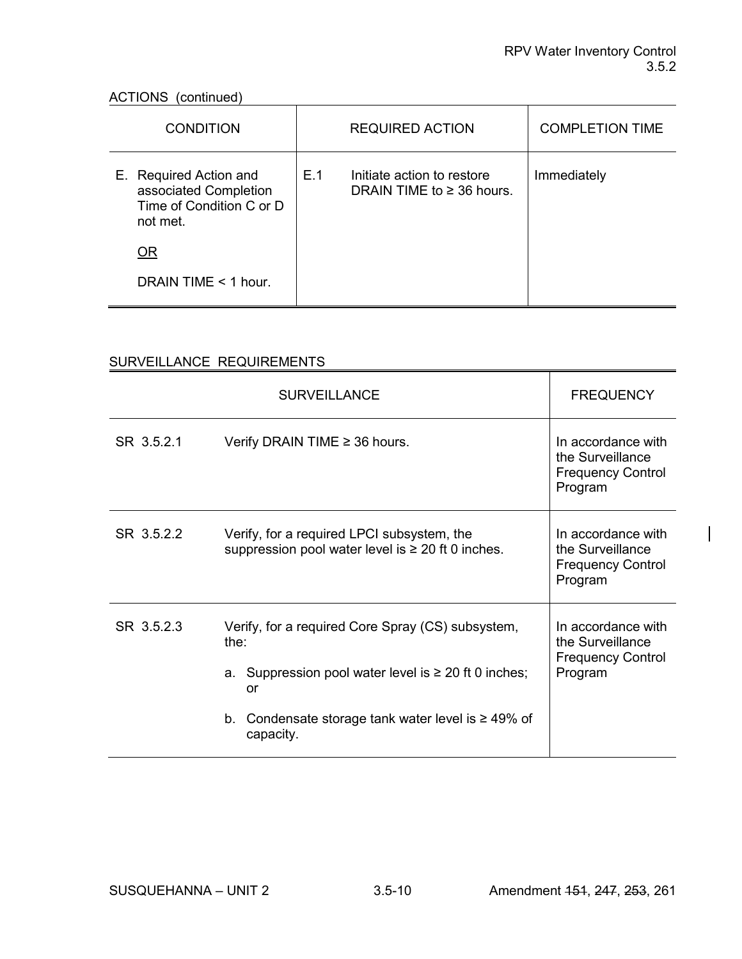$\overline{\mathbf{r}}$ 

 $\overline{\phantom{a}}$ 

# ACTIONS (continued)<br>
and the continued of the continued of the continued of the continued of the continued of the continued of the<br>
and the continued of the continued of the continued of the continued of the continued of t

| <b>CONDITION</b>                                                                        |     | <b>REQUIRED ACTION</b>                                       | <b>COMPLETION TIME</b> |
|-----------------------------------------------------------------------------------------|-----|--------------------------------------------------------------|------------------------|
| E. Required Action and<br>associated Completion<br>Time of Condition C or D<br>not met. | E.1 | Initiate action to restore<br>DRAIN TIME to $\geq$ 36 hours. | Immediately            |
| <b>OR</b>                                                                               |     |                                                              |                        |
| DRAIN TIME $<$ 1 hour.                                                                  |     |                                                              |                        |

# SURVEILLANCE REQUIREMENTS

|            | <b>SURVEILLANCE</b>                                                                                                                                                                                      | <b>FREQUENCY</b>                                                              |
|------------|----------------------------------------------------------------------------------------------------------------------------------------------------------------------------------------------------------|-------------------------------------------------------------------------------|
| SR 3.5.2.1 | Verify DRAIN TIME $\geq$ 36 hours.                                                                                                                                                                       | In accordance with<br>the Surveillance<br><b>Frequency Control</b><br>Program |
| SR 3.5.2.2 | Verify, for a required LPCI subsystem, the<br>suppression pool water level is $\geq 20$ ft 0 inches.                                                                                                     | In accordance with<br>the Surveillance<br><b>Frequency Control</b><br>Program |
| SR 3.5.2.3 | Verify, for a required Core Spray (CS) subsystem,<br>the:<br>a. Suppression pool water level is $\geq 20$ ft 0 inches;<br>or<br>Condensate storage tank water level is $\geq 49\%$ of<br>b.<br>capacity. | In accordance with<br>the Surveillance<br><b>Frequency Control</b><br>Program |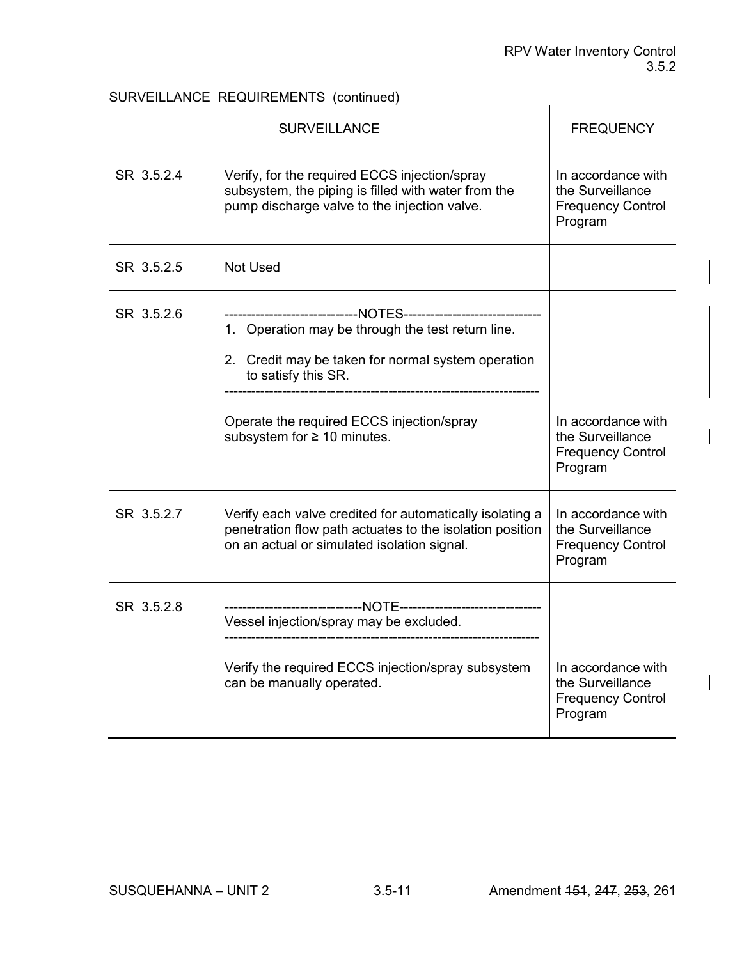# SURVEILLANCE REQUIREMENTS (continued)

|            | <b>SURVEILLANCE</b>                                                                                                                                                                                                                                                      | <b>FREQUENCY</b>                                                              |
|------------|--------------------------------------------------------------------------------------------------------------------------------------------------------------------------------------------------------------------------------------------------------------------------|-------------------------------------------------------------------------------|
| SR 3.5.2.4 | Verify, for the required ECCS injection/spray<br>subsystem, the piping is filled with water from the<br>pump discharge valve to the injection valve.                                                                                                                     | In accordance with<br>the Surveillance<br><b>Frequency Control</b><br>Program |
| SR 3.5.2.5 | <b>Not Used</b>                                                                                                                                                                                                                                                          |                                                                               |
| SR 3.5.2.6 | -------------------------NOTES----------------------------<br>1. Operation may be through the test return line.<br>2. Credit may be taken for normal system operation<br>to satisfy this SR.<br>Operate the required ECCS injection/spray<br>subsystem for ≥ 10 minutes. | In accordance with<br>the Surveillance<br><b>Frequency Control</b><br>Program |
| SR 3.5.2.7 | Verify each valve credited for automatically isolating a<br>penetration flow path actuates to the isolation position<br>on an actual or simulated isolation signal.                                                                                                      | In accordance with<br>the Surveillance<br><b>Frequency Control</b><br>Program |
| SR 3.5.2.8 | Vessel injection/spray may be excluded.                                                                                                                                                                                                                                  |                                                                               |
|            | Verify the required ECCS injection/spray subsystem<br>can be manually operated.                                                                                                                                                                                          | In accordance with<br>the Surveillance<br><b>Frequency Control</b><br>Program |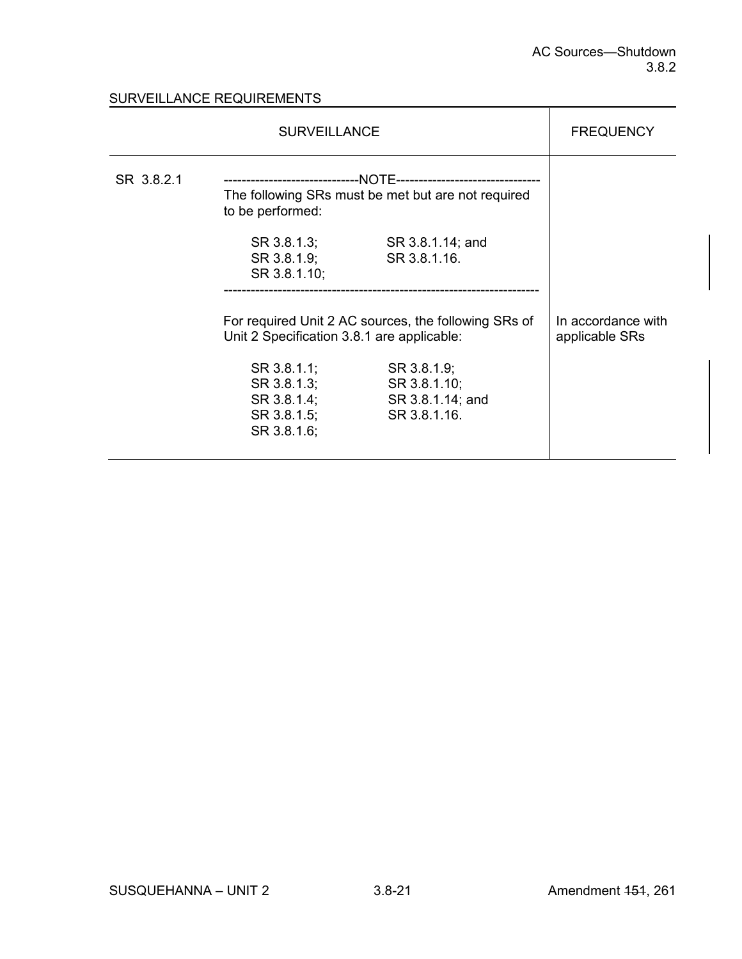# SURVEILLANCE REQUIREMENTS

|            | <b>SURVEILLANCE</b>                                                                                |                                                                 |                                      |
|------------|----------------------------------------------------------------------------------------------------|-----------------------------------------------------------------|--------------------------------------|
| SR 3.8.2.1 | The following SRs must be met but are not required<br>to be performed:                             |                                                                 |                                      |
|            | SR 3.8.1.3;<br>SR 3.8.1.9;<br>SR 3.8.1.10;                                                         | SR 3.8.1.14; and<br>SR 3.8.1.16.                                |                                      |
|            | For required Unit 2 AC sources, the following SRs of<br>Unit 2 Specification 3.8.1 are applicable: |                                                                 | In accordance with<br>applicable SRs |
|            | SR 3.8.1.1;<br>SR 3.8.1.3;<br>SR 3.8.1.4;<br>SR 3.8.1.5;<br>SR 3.8.1.6;                            | SR 3.8.1.9;<br>SR 3.8.1.10;<br>SR 3.8.1.14; and<br>SR 3.8.1.16. |                                      |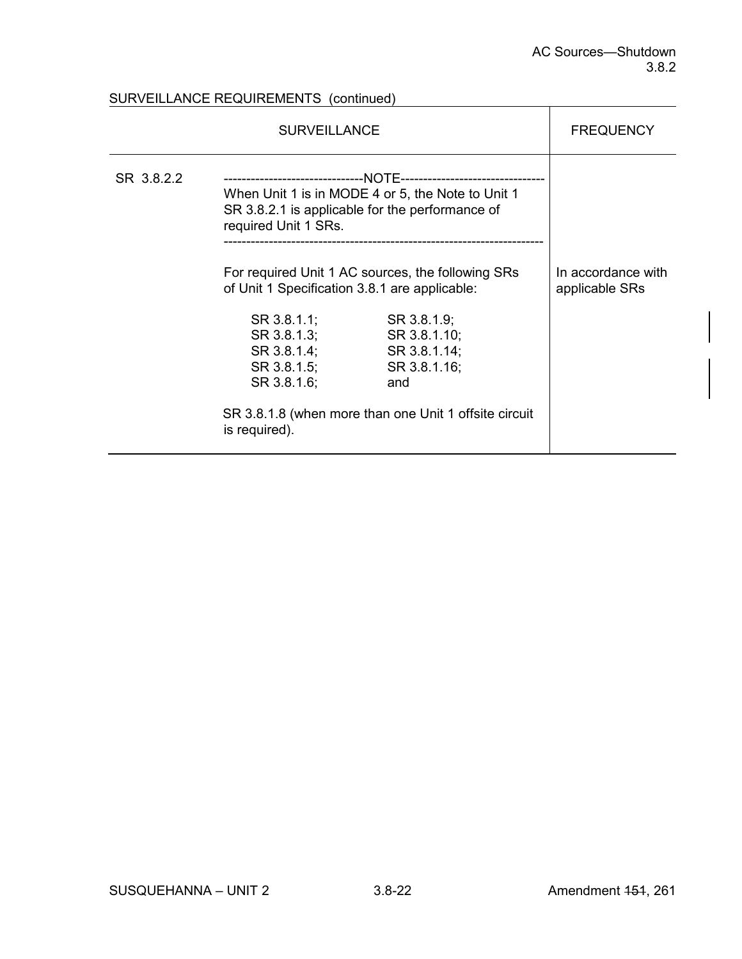# SURVEILLANCE REQUIREMENTS (continued)

| <b>SURVEILLANCE</b> |                                                                                                                              |                                                                                                                             | <b>FREQUENCY</b>                     |
|---------------------|------------------------------------------------------------------------------------------------------------------------------|-----------------------------------------------------------------------------------------------------------------------------|--------------------------------------|
| SR 3.8.2.2          | When Unit 1 is in MODE 4 or 5, the Note to Unit 1<br>SR 3.8.2.1 is applicable for the performance of<br>required Unit 1 SRs. |                                                                                                                             |                                      |
|                     | For required Unit 1 AC sources, the following SRs<br>of Unit 1 Specification 3.8.1 are applicable:                           |                                                                                                                             | In accordance with<br>applicable SRs |
|                     | SR 3.8.1.1;<br>SR 3.8.1.3;<br>SR 3.8.1.4;<br>SR 3.8.1.5;<br>SR 3.8.1.6;<br>is required).                                     | SR 3.8.1.9;<br>SR 3.8.1.10;<br>SR 3.8.1.14;<br>SR 3.8.1.16;<br>and<br>SR 3.8.1.8 (when more than one Unit 1 offsite circuit |                                      |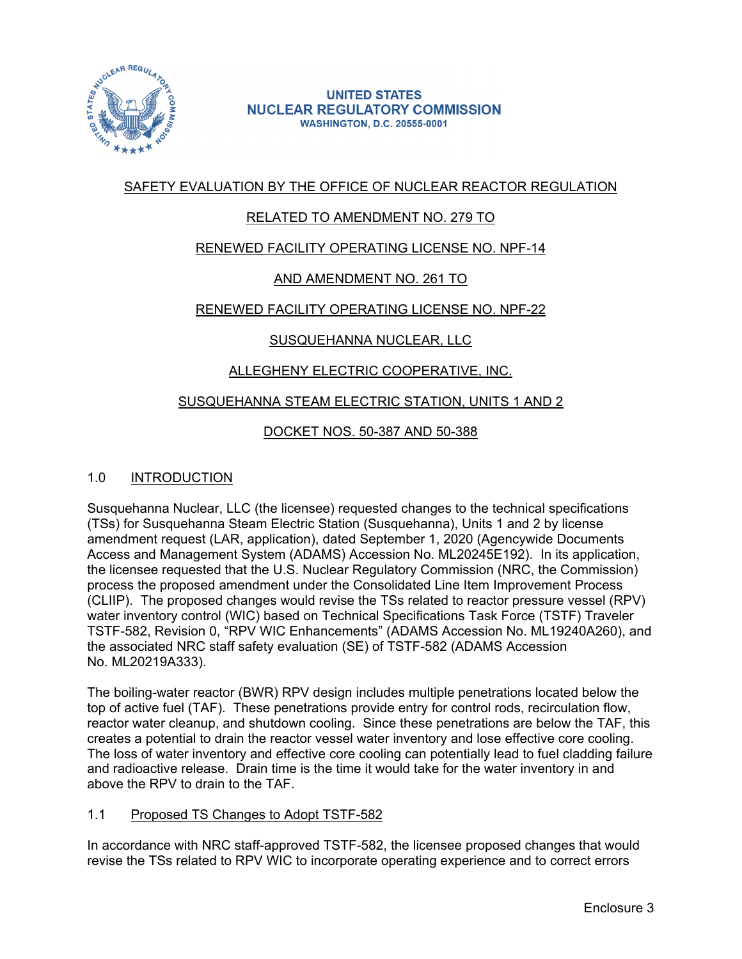

#### **UNITED STATES NUCLEAR REGULATORY COMMISSION WASHINGTON, D.C. 20555-0001**

# SAFETY EVALUATION BY THE OFFICE OF NUCLEAR REACTOR REGULATION

# RELATED TO AMENDMENT NO. 279 TO

# RENEWED FACILITY OPERATING LICENSE NO. NPF-14

# AND AMENDMENT NO. 261 TO

# RENEWED FACILITY OPERATING LICENSE NO. NPF-22

# SUSQUEHANNA NUCLEAR, LLC

# ALLEGHENY ELECTRIC COOPERATIVE, INC.

#### SUSQUEHANNA STEAM ELECTRIC STATION, UNITS 1 AND 2

# DOCKET NOS. 50-387 AND 50-388

#### 1.0 INTRODUCTION

Susquehanna Nuclear, LLC (the licensee) requested changes to the technical specifications (TSs) for Susquehanna Steam Electric Station (Susquehanna), Units 1 and 2 by license amendment request (LAR, application), dated September 1, 2020 (Agencywide Documents Access and Management System (ADAMS) Accession No. ML20245E192). In its application, the licensee requested that the U.S. Nuclear Regulatory Commission (NRC, the Commission) process the proposed amendment under the Consolidated Line Item Improvement Process (CLIIP). The proposed changes would revise the TSs related to reactor pressure vessel (RPV) water inventory control (WIC) based on Technical Specifications Task Force (TSTF) Traveler TSTF-582, Revision 0, "RPV WIC Enhancements" (ADAMS Accession No. ML19240A260), and the associated NRC staff safety evaluation (SE) of TSTF-582 (ADAMS Accession No. ML20219A333).

The boiling-water reactor (BWR) RPV design includes multiple penetrations located below the top of active fuel (TAF). These penetrations provide entry for control rods, recirculation flow, reactor water cleanup, and shutdown cooling. Since these penetrations are below the TAF, this creates a potential to drain the reactor vessel water inventory and lose effective core cooling. The loss of water inventory and effective core cooling can potentially lead to fuel cladding failure and radioactive release. Drain time is the time it would take for the water inventory in and above the RPV to drain to the TAF.

#### 1.1 Proposed TS Changes to Adopt TSTF-582

In accordance with NRC staff-approved TSTF-582, the licensee proposed changes that would revise the TSs related to RPV WIC to incorporate operating experience and to correct errors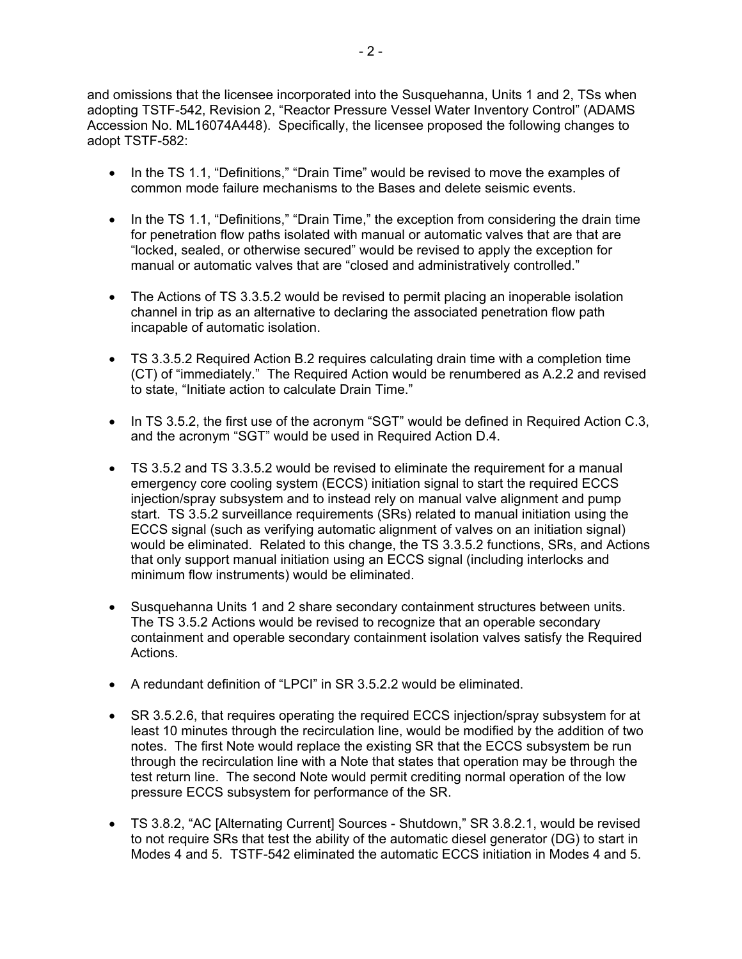and omissions that the licensee incorporated into the Susquehanna, Units 1 and 2, TSs when adopting TSTF-542, Revision 2, "Reactor Pressure Vessel Water Inventory Control" (ADAMS Accession No. ML16074A448). Specifically, the licensee proposed the following changes to adopt TSTF-582:

- In the TS 1.1, "Definitions," "Drain Time" would be revised to move the examples of common mode failure mechanisms to the Bases and delete seismic events.
- In the TS 1.1, "Definitions," "Drain Time," the exception from considering the drain time for penetration flow paths isolated with manual or automatic valves that are that are "locked, sealed, or otherwise secured" would be revised to apply the exception for manual or automatic valves that are "closed and administratively controlled."
- The Actions of TS 3.3.5.2 would be revised to permit placing an inoperable isolation channel in trip as an alternative to declaring the associated penetration flow path incapable of automatic isolation.
- TS 3.3.5.2 Required Action B.2 requires calculating drain time with a completion time (CT) of "immediately." The Required Action would be renumbered as A.2.2 and revised to state, "Initiate action to calculate Drain Time."
- In TS 3.5.2, the first use of the acronym "SGT" would be defined in Required Action C.3, and the acronym "SGT" would be used in Required Action D.4.
- TS 3.5.2 and TS 3.3.5.2 would be revised to eliminate the requirement for a manual emergency core cooling system (ECCS) initiation signal to start the required ECCS injection/spray subsystem and to instead rely on manual valve alignment and pump start. TS 3.5.2 surveillance requirements (SRs) related to manual initiation using the ECCS signal (such as verifying automatic alignment of valves on an initiation signal) would be eliminated. Related to this change, the TS 3.3.5.2 functions, SRs, and Actions that only support manual initiation using an ECCS signal (including interlocks and minimum flow instruments) would be eliminated.
- Susquehanna Units 1 and 2 share secondary containment structures between units. The TS 3.5.2 Actions would be revised to recognize that an operable secondary containment and operable secondary containment isolation valves satisfy the Required Actions.
- A redundant definition of "LPCI" in SR 3.5.2.2 would be eliminated.
- SR 3.5.2.6, that requires operating the required ECCS injection/spray subsystem for at least 10 minutes through the recirculation line, would be modified by the addition of two notes. The first Note would replace the existing SR that the ECCS subsystem be run through the recirculation line with a Note that states that operation may be through the test return line. The second Note would permit crediting normal operation of the low pressure ECCS subsystem for performance of the SR.
- TS 3.8.2, "AC [Alternating Current] Sources Shutdown," SR 3.8.2.1, would be revised to not require SRs that test the ability of the automatic diesel generator (DG) to start in Modes 4 and 5. TSTF-542 eliminated the automatic ECCS initiation in Modes 4 and 5.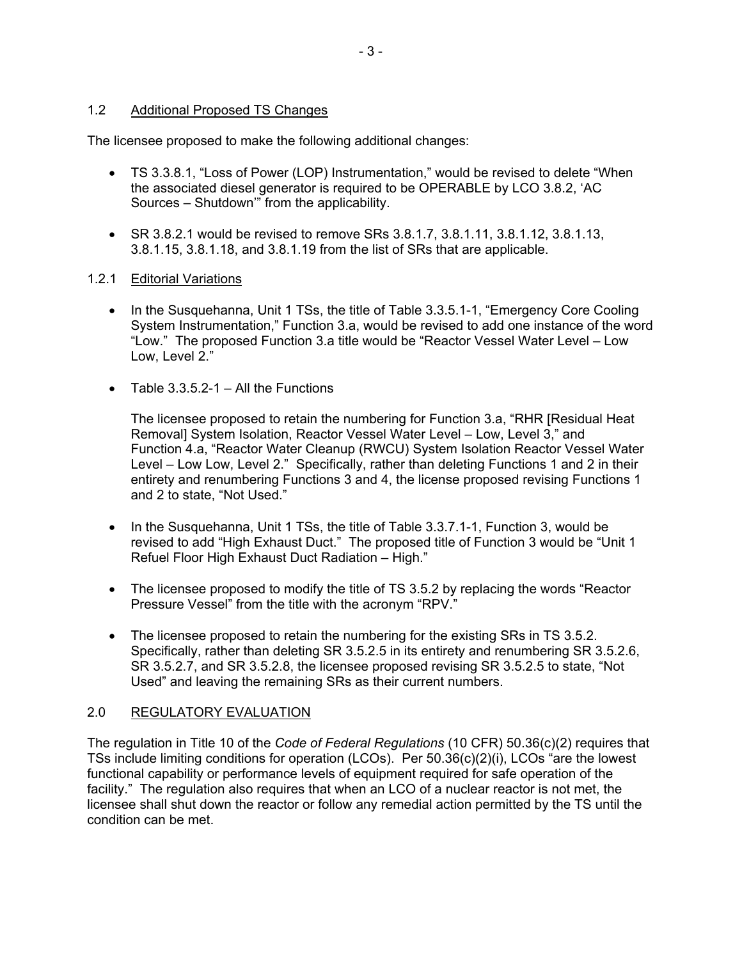### 1.2 Additional Proposed TS Changes

The licensee proposed to make the following additional changes:

- TS 3.3.8.1, "Loss of Power (LOP) Instrumentation," would be revised to delete "When the associated diesel generator is required to be OPERABLE by LCO 3.8.2, 'AC Sources – Shutdown'" from the applicability.
- SR 3.8.2.1 would be revised to remove SRs  $3.8.1.7$ ,  $3.8.1.11$ ,  $3.8.1.12$ ,  $3.8.1.13$ , 3.8.1.15, 3.8.1.18, and 3.8.1.19 from the list of SRs that are applicable.

#### 1.2.1 Editorial Variations

- In the Susquehanna, Unit 1 TSs, the title of Table 3.3.5.1-1, "Emergency Core Cooling System Instrumentation," Function 3.a, would be revised to add one instance of the word "Low." The proposed Function 3.a title would be "Reactor Vessel Water Level – Low Low, Level 2."
- Table  $3.3.5.2 1 -$  All the Functions

The licensee proposed to retain the numbering for Function 3.a, "RHR [Residual Heat Removal] System Isolation, Reactor Vessel Water Level – Low, Level 3," and Function 4.a, "Reactor Water Cleanup (RWCU) System Isolation Reactor Vessel Water Level – Low Low, Level 2." Specifically, rather than deleting Functions 1 and 2 in their entirety and renumbering Functions 3 and 4, the license proposed revising Functions 1 and 2 to state, "Not Used."

- In the Susquehanna, Unit 1 TSs, the title of Table 3.3.7.1-1, Function 3, would be revised to add "High Exhaust Duct." The proposed title of Function 3 would be "Unit 1 Refuel Floor High Exhaust Duct Radiation – High."
- The licensee proposed to modify the title of TS 3.5.2 by replacing the words "Reactor" Pressure Vessel" from the title with the acronym "RPV."
- The licensee proposed to retain the numbering for the existing SRs in TS 3.5.2. Specifically, rather than deleting SR 3.5.2.5 in its entirety and renumbering SR 3.5.2.6, SR 3.5.2.7, and SR 3.5.2.8, the licensee proposed revising SR 3.5.2.5 to state, "Not Used" and leaving the remaining SRs as their current numbers.

# 2.0 REGULATORY EVALUATION

The regulation in Title 10 of the *Code of Federal Regulations* (10 CFR) 50.36(c)(2) requires that TSs include limiting conditions for operation (LCOs). Per 50.36(c)(2)(i), LCOs "are the lowest functional capability or performance levels of equipment required for safe operation of the facility." The regulation also requires that when an LCO of a nuclear reactor is not met, the licensee shall shut down the reactor or follow any remedial action permitted by the TS until the condition can be met.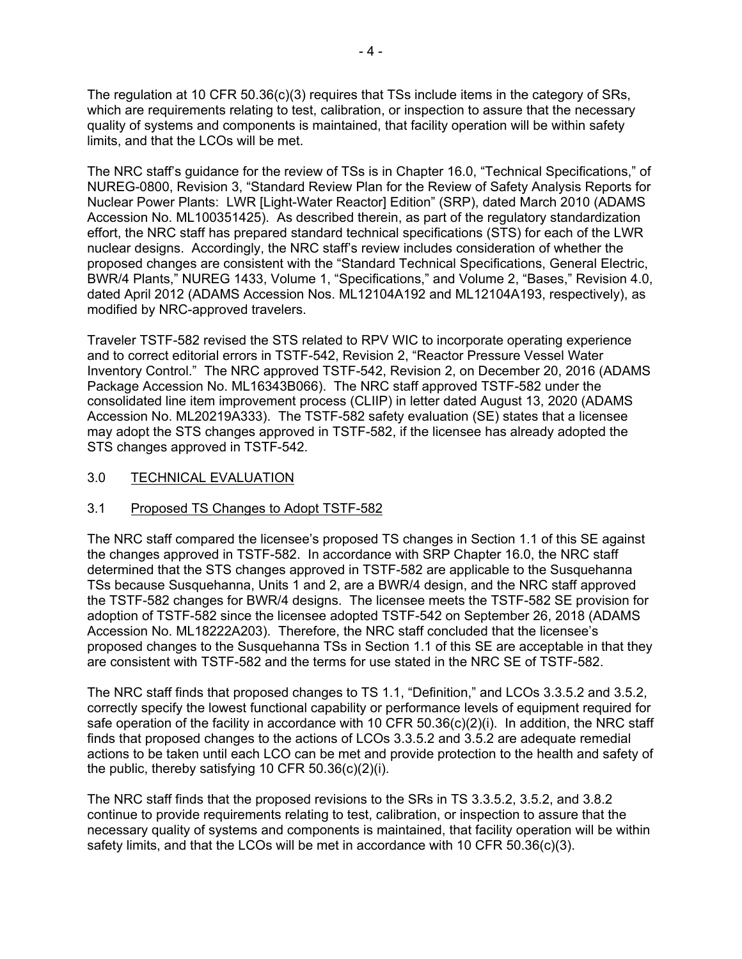The regulation at 10 CFR 50.36(c)(3) requires that TSs include items in the category of SRs, which are requirements relating to test, calibration, or inspection to assure that the necessary quality of systems and components is maintained, that facility operation will be within safety limits, and that the LCOs will be met.

The NRC staff's guidance for the review of TSs is in Chapter 16.0, "Technical Specifications," of NUREG-0800, Revision 3, "Standard Review Plan for the Review of Safety Analysis Reports for Nuclear Power Plants: LWR [Light-Water Reactor] Edition" (SRP), dated March 2010 (ADAMS Accession No. ML100351425). As described therein, as part of the regulatory standardization effort, the NRC staff has prepared standard technical specifications (STS) for each of the LWR nuclear designs. Accordingly, the NRC staff's review includes consideration of whether the proposed changes are consistent with the "Standard Technical Specifications, General Electric, BWR/4 Plants," NUREG 1433, Volume 1, "Specifications," and Volume 2, "Bases," Revision 4.0, dated April 2012 (ADAMS Accession Nos. ML12104A192 and ML12104A193, respectively), as modified by NRC-approved travelers.

Traveler TSTF-582 revised the STS related to RPV WIC to incorporate operating experience and to correct editorial errors in TSTF-542, Revision 2, "Reactor Pressure Vessel Water Inventory Control." The NRC approved TSTF-542, Revision 2, on December 20, 2016 (ADAMS Package Accession No. ML16343B066). The NRC staff approved TSTF-582 under the consolidated line item improvement process (CLIIP) in letter dated August 13, 2020 (ADAMS Accession No. ML20219A333). The TSTF-582 safety evaluation (SE) states that a licensee may adopt the STS changes approved in TSTF-582, if the licensee has already adopted the STS changes approved in TSTF-542.

### 3.0 TECHNICAL EVALUATION

# 3.1 Proposed TS Changes to Adopt TSTF-582

The NRC staff compared the licensee's proposed TS changes in Section 1.1 of this SE against the changes approved in TSTF-582. In accordance with SRP Chapter 16.0, the NRC staff determined that the STS changes approved in TSTF-582 are applicable to the Susquehanna TSs because Susquehanna, Units 1 and 2, are a BWR/4 design, and the NRC staff approved the TSTF-582 changes for BWR/4 designs. The licensee meets the TSTF-582 SE provision for adoption of TSTF-582 since the licensee adopted TSTF-542 on September 26, 2018 (ADAMS Accession No. ML18222A203). Therefore, the NRC staff concluded that the licensee's proposed changes to the Susquehanna TSs in Section 1.1 of this SE are acceptable in that they are consistent with TSTF-582 and the terms for use stated in the NRC SE of TSTF-582.

The NRC staff finds that proposed changes to TS 1.1, "Definition," and LCOs 3.3.5.2 and 3.5.2, correctly specify the lowest functional capability or performance levels of equipment required for safe operation of the facility in accordance with 10 CFR  $50.36(c)(2)(i)$ . In addition, the NRC staff finds that proposed changes to the actions of LCOs 3.3.5.2 and 3.5.2 are adequate remedial actions to be taken until each LCO can be met and provide protection to the health and safety of the public, thereby satisfying 10 CFR 50.36(c)(2)(i).

The NRC staff finds that the proposed revisions to the SRs in TS 3.3.5.2, 3.5.2, and 3.8.2 continue to provide requirements relating to test, calibration, or inspection to assure that the necessary quality of systems and components is maintained, that facility operation will be within safety limits, and that the LCOs will be met in accordance with 10 CFR  $50.36(c)(3)$ .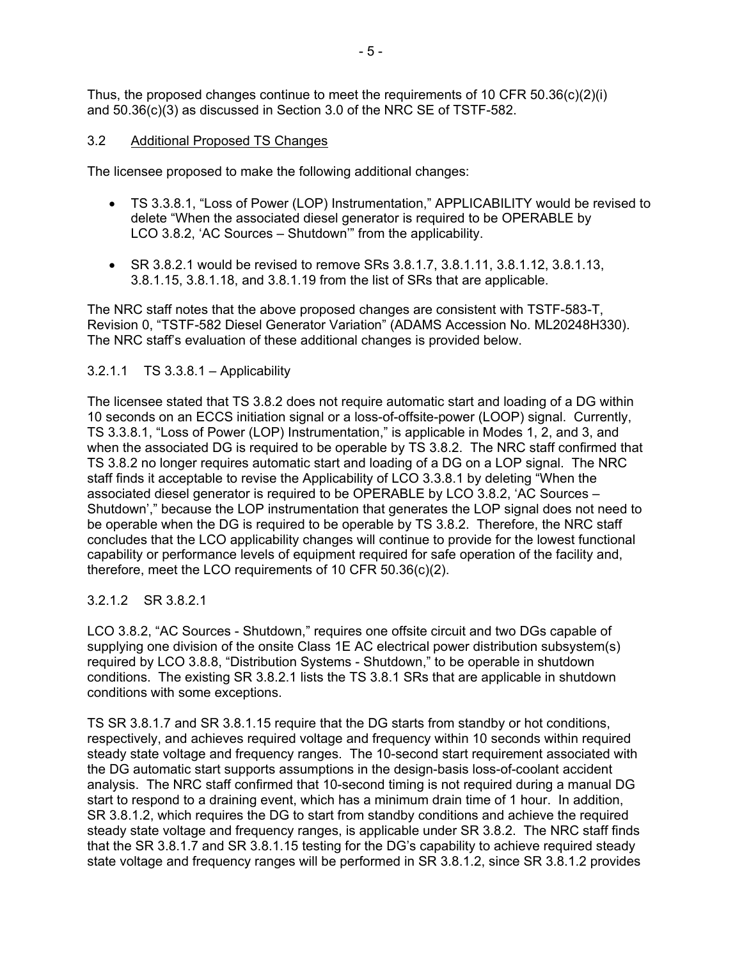Thus, the proposed changes continue to meet the requirements of 10 CFR 50.36(c)(2)(i) and 50.36(c)(3) as discussed in Section 3.0 of the NRC SE of TSTF-582.

### 3.2 Additional Proposed TS Changes

The licensee proposed to make the following additional changes:

- TS 3.3.8.1, "Loss of Power (LOP) Instrumentation," APPLICABILITY would be revised to delete "When the associated diesel generator is required to be OPERABLE by LCO 3.8.2, 'AC Sources – Shutdown'" from the applicability.
- SR 3.8.2.1 would be revised to remove SRs  $3.8.1.7$ ,  $3.8.1.11$ ,  $3.8.1.12$ ,  $3.8.1.13$ , 3.8.1.15, 3.8.1.18, and 3.8.1.19 from the list of SRs that are applicable.

The NRC staff notes that the above proposed changes are consistent with TSTF-583-T, Revision 0, "TSTF-582 Diesel Generator Variation" (ADAMS Accession No. ML20248H330). The NRC staff's evaluation of these additional changes is provided below.

# 3.2.1.1 TS 3.3.8.1 – Applicability

The licensee stated that TS 3.8.2 does not require automatic start and loading of a DG within 10 seconds on an ECCS initiation signal or a loss-of-offsite-power (LOOP) signal. Currently, TS 3.3.8.1, "Loss of Power (LOP) Instrumentation," is applicable in Modes 1, 2, and 3, and when the associated DG is required to be operable by TS 3.8.2. The NRC staff confirmed that TS 3.8.2 no longer requires automatic start and loading of a DG on a LOP signal. The NRC staff finds it acceptable to revise the Applicability of LCO 3.3.8.1 by deleting "When the associated diesel generator is required to be OPERABLE by LCO 3.8.2, 'AC Sources – Shutdown'," because the LOP instrumentation that generates the LOP signal does not need to be operable when the DG is required to be operable by TS 3.8.2. Therefore, the NRC staff concludes that the LCO applicability changes will continue to provide for the lowest functional capability or performance levels of equipment required for safe operation of the facility and, therefore, meet the LCO requirements of 10 CFR 50.36(c)(2).

# 3.2.1.2 SR 3.8.2.1

LCO 3.8.2, "AC Sources - Shutdown," requires one offsite circuit and two DGs capable of supplying one division of the onsite Class 1E AC electrical power distribution subsystem(s) required by LCO 3.8.8, "Distribution Systems - Shutdown," to be operable in shutdown conditions. The existing SR 3.8.2.1 lists the TS 3.8.1 SRs that are applicable in shutdown conditions with some exceptions.

TS SR 3.8.1.7 and SR 3.8.1.15 require that the DG starts from standby or hot conditions, respectively, and achieves required voltage and frequency within 10 seconds within required steady state voltage and frequency ranges. The 10-second start requirement associated with the DG automatic start supports assumptions in the design-basis loss-of-coolant accident analysis. The NRC staff confirmed that 10-second timing is not required during a manual DG start to respond to a draining event, which has a minimum drain time of 1 hour. In addition, SR 3.8.1.2, which requires the DG to start from standby conditions and achieve the required steady state voltage and frequency ranges, is applicable under SR 3.8.2. The NRC staff finds that the SR 3.8.1.7 and SR 3.8.1.15 testing for the DG's capability to achieve required steady state voltage and frequency ranges will be performed in SR 3.8.1.2, since SR 3.8.1.2 provides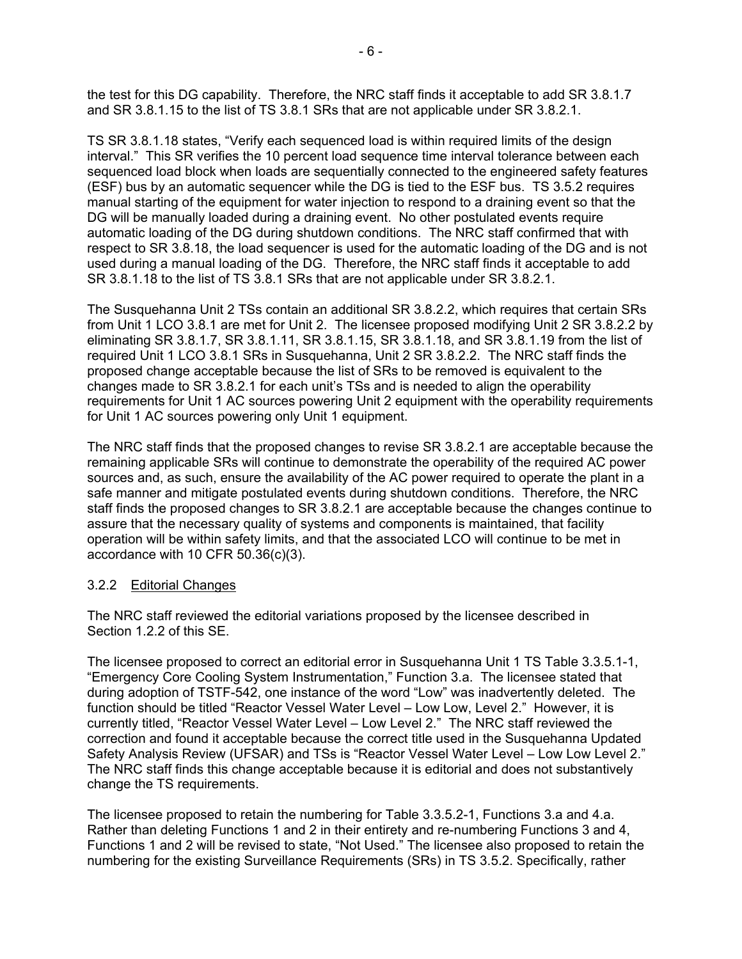the test for this DG capability. Therefore, the NRC staff finds it acceptable to add SR 3.8.1.7 and SR 3.8.1.15 to the list of TS 3.8.1 SRs that are not applicable under SR 3.8.2.1.

TS SR 3.8.1.18 states, "Verify each sequenced load is within required limits of the design interval." This SR verifies the 10 percent load sequence time interval tolerance between each sequenced load block when loads are sequentially connected to the engineered safety features (ESF) bus by an automatic sequencer while the DG is tied to the ESF bus. TS 3.5.2 requires manual starting of the equipment for water injection to respond to a draining event so that the DG will be manually loaded during a draining event. No other postulated events require automatic loading of the DG during shutdown conditions. The NRC staff confirmed that with respect to SR 3.8.18, the load sequencer is used for the automatic loading of the DG and is not used during a manual loading of the DG. Therefore, the NRC staff finds it acceptable to add SR 3.8.1.18 to the list of TS 3.8.1 SRs that are not applicable under SR 3.8.2.1.

The Susquehanna Unit 2 TSs contain an additional SR 3.8.2.2, which requires that certain SRs from Unit 1 LCO 3.8.1 are met for Unit 2. The licensee proposed modifying Unit 2 SR 3.8.2.2 by eliminating SR 3.8.1.7, SR 3.8.1.11, SR 3.8.1.15, SR 3.8.1.18, and SR 3.8.1.19 from the list of required Unit 1 LCO 3.8.1 SRs in Susquehanna, Unit 2 SR 3.8.2.2. The NRC staff finds the proposed change acceptable because the list of SRs to be removed is equivalent to the changes made to SR 3.8.2.1 for each unit's TSs and is needed to align the operability requirements for Unit 1 AC sources powering Unit 2 equipment with the operability requirements for Unit 1 AC sources powering only Unit 1 equipment.

The NRC staff finds that the proposed changes to revise SR 3.8.2.1 are acceptable because the remaining applicable SRs will continue to demonstrate the operability of the required AC power sources and, as such, ensure the availability of the AC power required to operate the plant in a safe manner and mitigate postulated events during shutdown conditions. Therefore, the NRC staff finds the proposed changes to SR 3.8.2.1 are acceptable because the changes continue to assure that the necessary quality of systems and components is maintained, that facility operation will be within safety limits, and that the associated LCO will continue to be met in accordance with 10 CFR 50.36(c)(3).

# 3.2.2 Editorial Changes

The NRC staff reviewed the editorial variations proposed by the licensee described in Section 1.2.2 of this SE.

The licensee proposed to correct an editorial error in Susquehanna Unit 1 TS Table 3.3.5.1-1, "Emergency Core Cooling System Instrumentation," Function 3.a. The licensee stated that during adoption of TSTF-542, one instance of the word "Low" was inadvertently deleted. The function should be titled "Reactor Vessel Water Level – Low Low, Level 2." However, it is currently titled, "Reactor Vessel Water Level – Low Level 2." The NRC staff reviewed the correction and found it acceptable because the correct title used in the Susquehanna Updated Safety Analysis Review (UFSAR) and TSs is "Reactor Vessel Water Level – Low Low Level 2." The NRC staff finds this change acceptable because it is editorial and does not substantively change the TS requirements.

The licensee proposed to retain the numbering for Table 3.3.5.2-1, Functions 3.a and 4.a. Rather than deleting Functions 1 and 2 in their entirety and re-numbering Functions 3 and 4, Functions 1 and 2 will be revised to state, "Not Used." The licensee also proposed to retain the numbering for the existing Surveillance Requirements (SRs) in TS 3.5.2. Specifically, rather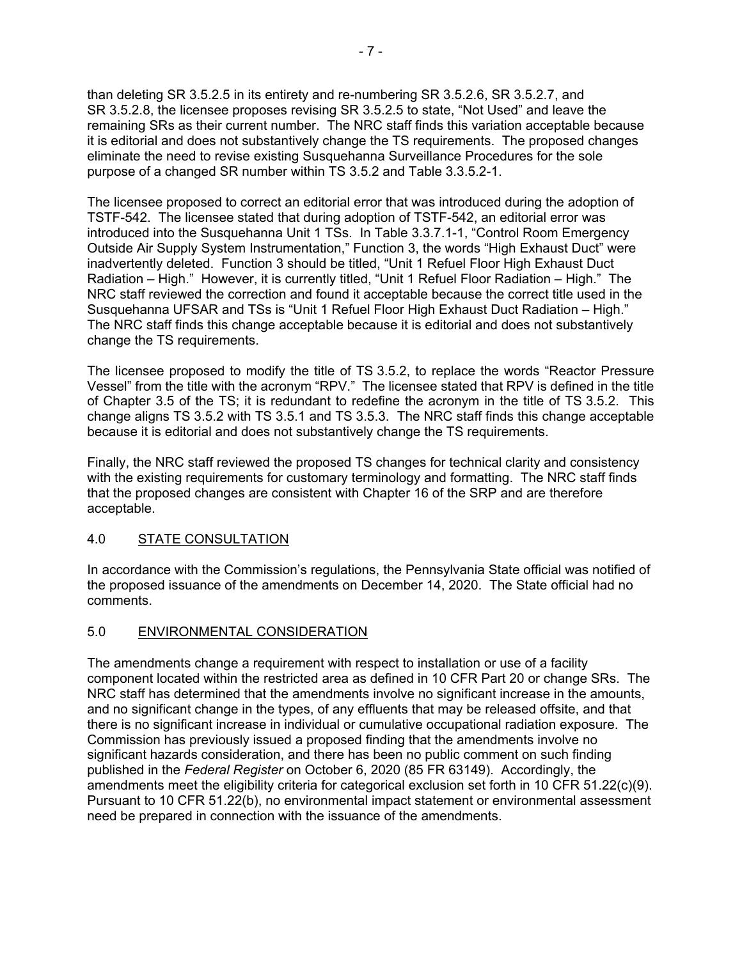than deleting SR 3.5.2.5 in its entirety and re-numbering SR 3.5.2.6, SR 3.5.2.7, and SR 3.5.2.8, the licensee proposes revising SR 3.5.2.5 to state, "Not Used" and leave the remaining SRs as their current number. The NRC staff finds this variation acceptable because it is editorial and does not substantively change the TS requirements. The proposed changes eliminate the need to revise existing Susquehanna Surveillance Procedures for the sole purpose of a changed SR number within TS 3.5.2 and Table 3.3.5.2-1.

The licensee proposed to correct an editorial error that was introduced during the adoption of TSTF-542. The licensee stated that during adoption of TSTF-542, an editorial error was introduced into the Susquehanna Unit 1 TSs. In Table 3.3.7.1-1, "Control Room Emergency Outside Air Supply System Instrumentation," Function 3, the words "High Exhaust Duct" were inadvertently deleted. Function 3 should be titled, "Unit 1 Refuel Floor High Exhaust Duct Radiation – High." However, it is currently titled, "Unit 1 Refuel Floor Radiation – High." The NRC staff reviewed the correction and found it acceptable because the correct title used in the Susquehanna UFSAR and TSs is "Unit 1 Refuel Floor High Exhaust Duct Radiation – High." The NRC staff finds this change acceptable because it is editorial and does not substantively change the TS requirements.

The licensee proposed to modify the title of TS 3.5.2, to replace the words "Reactor Pressure Vessel" from the title with the acronym "RPV." The licensee stated that RPV is defined in the title of Chapter 3.5 of the TS; it is redundant to redefine the acronym in the title of TS 3.5.2. This change aligns TS 3.5.2 with TS 3.5.1 and TS 3.5.3. The NRC staff finds this change acceptable because it is editorial and does not substantively change the TS requirements.

Finally, the NRC staff reviewed the proposed TS changes for technical clarity and consistency with the existing requirements for customary terminology and formatting. The NRC staff finds that the proposed changes are consistent with Chapter 16 of the SRP and are therefore acceptable.

# 4.0 STATE CONSULTATION

In accordance with the Commission's regulations, the Pennsylvania State official was notified of the proposed issuance of the amendments on December 14, 2020. The State official had no comments.

# 5.0 ENVIRONMENTAL CONSIDERATION

The amendments change a requirement with respect to installation or use of a facility component located within the restricted area as defined in 10 CFR Part 20 or change SRs. The NRC staff has determined that the amendments involve no significant increase in the amounts, and no significant change in the types, of any effluents that may be released offsite, and that there is no significant increase in individual or cumulative occupational radiation exposure. The Commission has previously issued a proposed finding that the amendments involve no significant hazards consideration, and there has been no public comment on such finding published in the *Federal Register* on October 6, 2020 (85 FR 63149). Accordingly, the amendments meet the eligibility criteria for categorical exclusion set forth in 10 CFR 51.22(c)(9). Pursuant to 10 CFR 51.22(b), no environmental impact statement or environmental assessment need be prepared in connection with the issuance of the amendments.